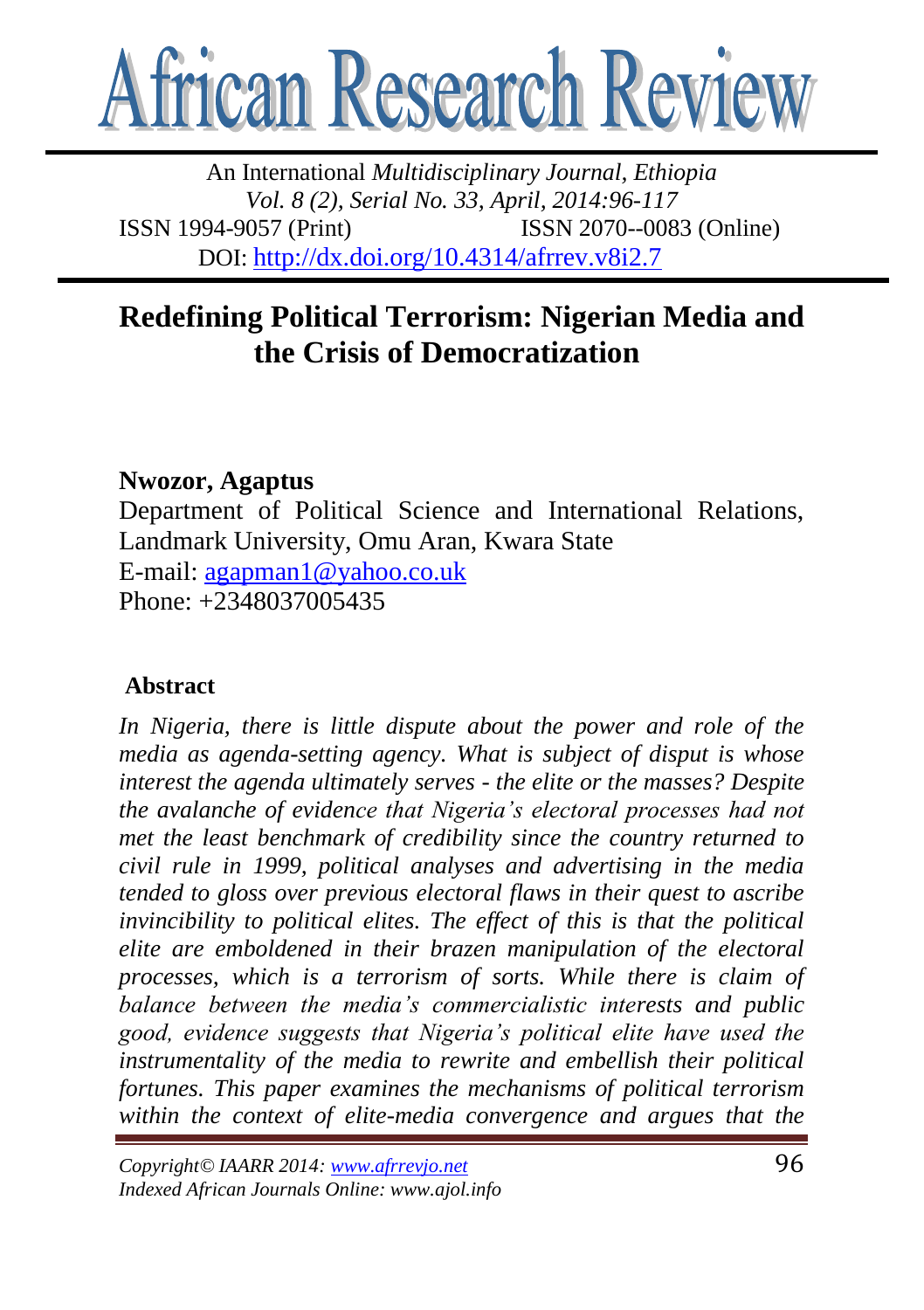

An International *Multidisciplinary Journal, Ethiopia Vol. 8 (2), Serial No. 33, April, 2014:96-117* ISSN 1994-9057 (Print) ISSN 2070--0083 (Online) DOI: <http://dx.doi.org/10.4314/afrrev.v8i2.7>

# **Redefining Political Terrorism: Nigerian Media and the Crisis of Democratization**

# **Nwozor, Agaptus**

Department of Political Science and International Relations, Landmark University, Omu Aran, Kwara State E-mail: [agapman1@yahoo.co.uk](mailto:agapman1@yahoo.co.uk) Phone: +2348037005435

## **Abstract**

*In Nigeria, there is little dispute about the power and role of the media as agenda-setting agency. What is subject of disput is whose interest the agenda ultimately serves - the elite or the masses? Despite the avalanche of evidence that Nigeria's electoral processes had not met the least benchmark of credibility since the country returned to civil rule in 1999, political analyses and advertising in the media tended to gloss over previous electoral flaws in their quest to ascribe invincibility to political elites. The effect of this is that the political elite are emboldened in their brazen manipulation of the electoral processes, which is a terrorism of sorts. While there is claim of balance between the media's commercialistic interests and public good, evidence suggests that Nigeria's political elite have used the instrumentality of the media to rewrite and embellish their political fortunes. This paper examines the mechanisms of political terrorism within the context of elite-media convergence and argues that the*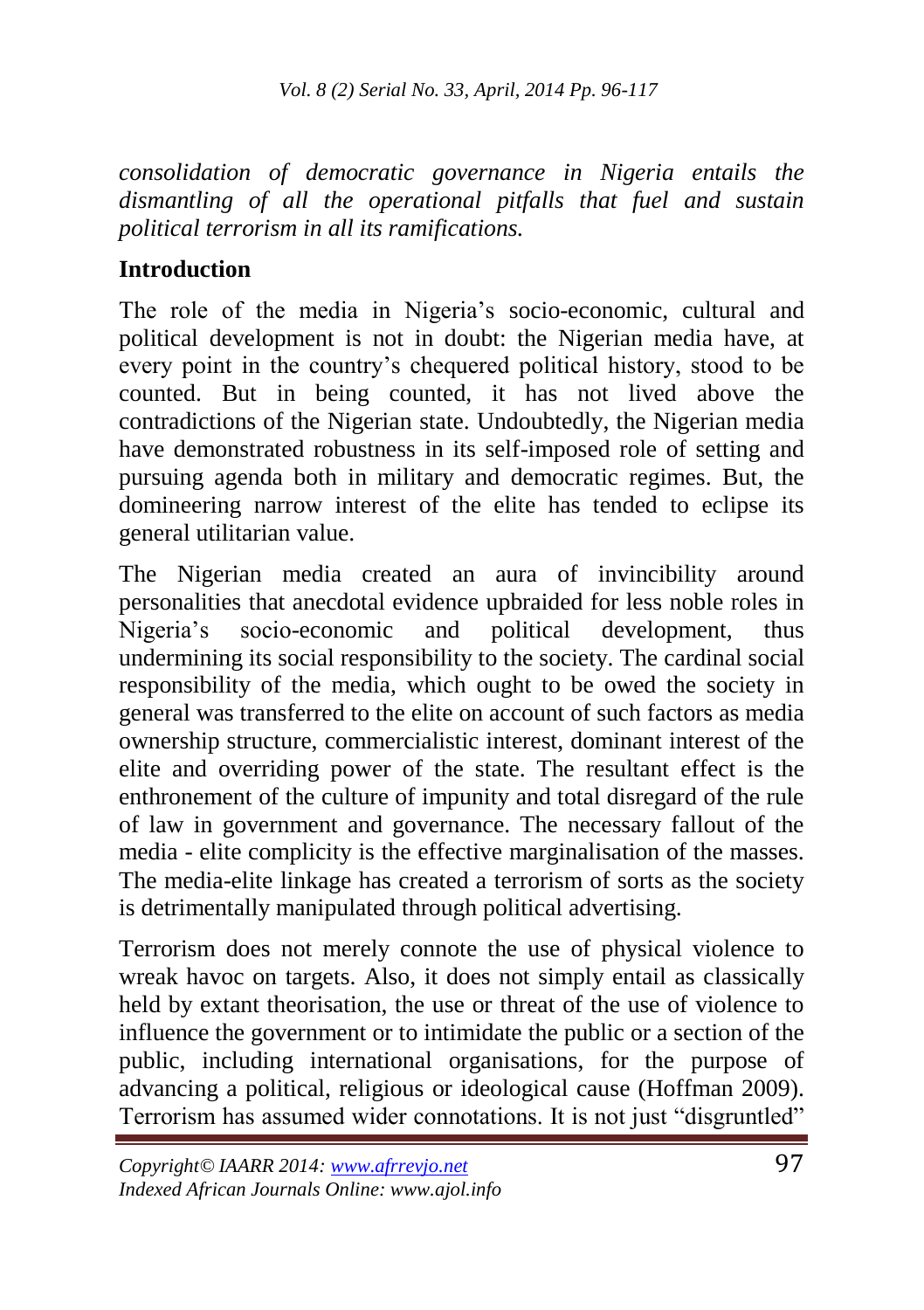*consolidation of democratic governance in Nigeria entails the dismantling of all the operational pitfalls that fuel and sustain political terrorism in all its ramifications.*

# **Introduction**

The role of the media in Nigeria's socio-economic, cultural and political development is not in doubt: the Nigerian media have, at every point in the country's chequered political history, stood to be counted. But in being counted, it has not lived above the contradictions of the Nigerian state. Undoubtedly, the Nigerian media have demonstrated robustness in its self-imposed role of setting and pursuing agenda both in military and democratic regimes. But, the domineering narrow interest of the elite has tended to eclipse its general utilitarian value.

The Nigerian media created an aura of invincibility around personalities that anecdotal evidence upbraided for less noble roles in Nigeria's socio-economic and political development, thus undermining its social responsibility to the society. The cardinal social responsibility of the media, which ought to be owed the society in general was transferred to the elite on account of such factors as media ownership structure, commercialistic interest, dominant interest of the elite and overriding power of the state. The resultant effect is the enthronement of the culture of impunity and total disregard of the rule of law in government and governance. The necessary fallout of the media - elite complicity is the effective marginalisation of the masses. The media-elite linkage has created a terrorism of sorts as the society is detrimentally manipulated through political advertising.

Terrorism does not merely connote the use of physical violence to wreak havoc on targets. Also, it does not simply entail as classically held by extant theorisation, the use or threat of the use of violence to influence the government or to intimidate the public or a section of the public, including international organisations, for the purpose of advancing a political, religious or ideological cause (Hoffman 2009). Terrorism has assumed wider connotations. It is not just "disgruntled"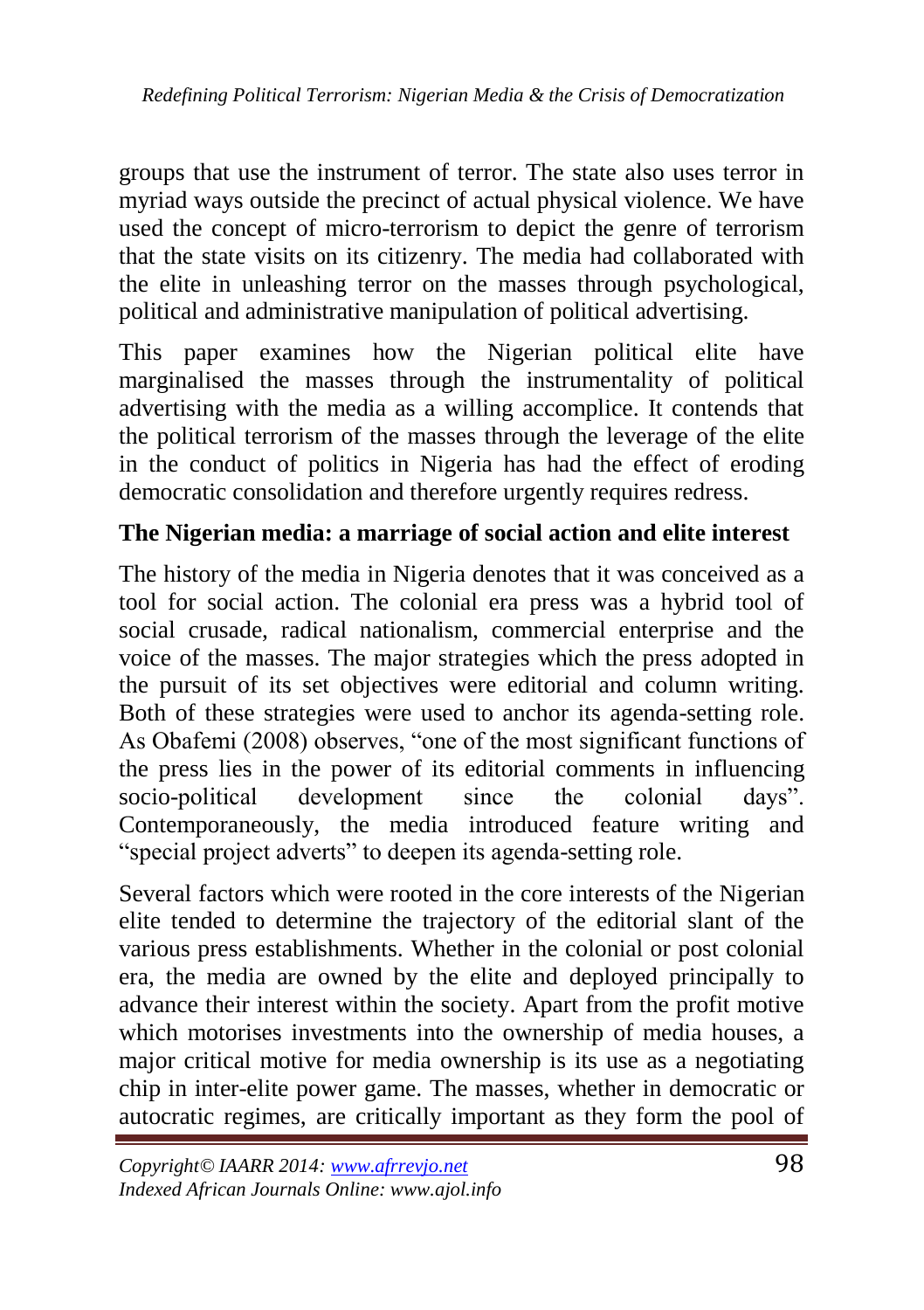groups that use the instrument of terror. The state also uses terror in myriad ways outside the precinct of actual physical violence. We have used the concept of micro-terrorism to depict the genre of terrorism that the state visits on its citizenry. The media had collaborated with the elite in unleashing terror on the masses through psychological, political and administrative manipulation of political advertising.

This paper examines how the Nigerian political elite have marginalised the masses through the instrumentality of political advertising with the media as a willing accomplice. It contends that the political terrorism of the masses through the leverage of the elite in the conduct of politics in Nigeria has had the effect of eroding democratic consolidation and therefore urgently requires redress.

## **The Nigerian media: a marriage of social action and elite interest**

The history of the media in Nigeria denotes that it was conceived as a tool for social action. The colonial era press was a hybrid tool of social crusade, radical nationalism, commercial enterprise and the voice of the masses. The major strategies which the press adopted in the pursuit of its set objectives were editorial and column writing. Both of these strategies were used to anchor its agenda-setting role. As Obafemi (2008) observes, "one of the most significant functions of the press lies in the power of its editorial comments in influencing socio-political development since the colonial days". Contemporaneously, the media introduced feature writing and "special project adverts" to deepen its agenda-setting role.

Several factors which were rooted in the core interests of the Nigerian elite tended to determine the trajectory of the editorial slant of the various press establishments. Whether in the colonial or post colonial era, the media are owned by the elite and deployed principally to advance their interest within the society. Apart from the profit motive which motorises investments into the ownership of media houses, a major critical motive for media ownership is its use as a negotiating chip in inter-elite power game. The masses, whether in democratic or autocratic regimes, are critically important as they form the pool of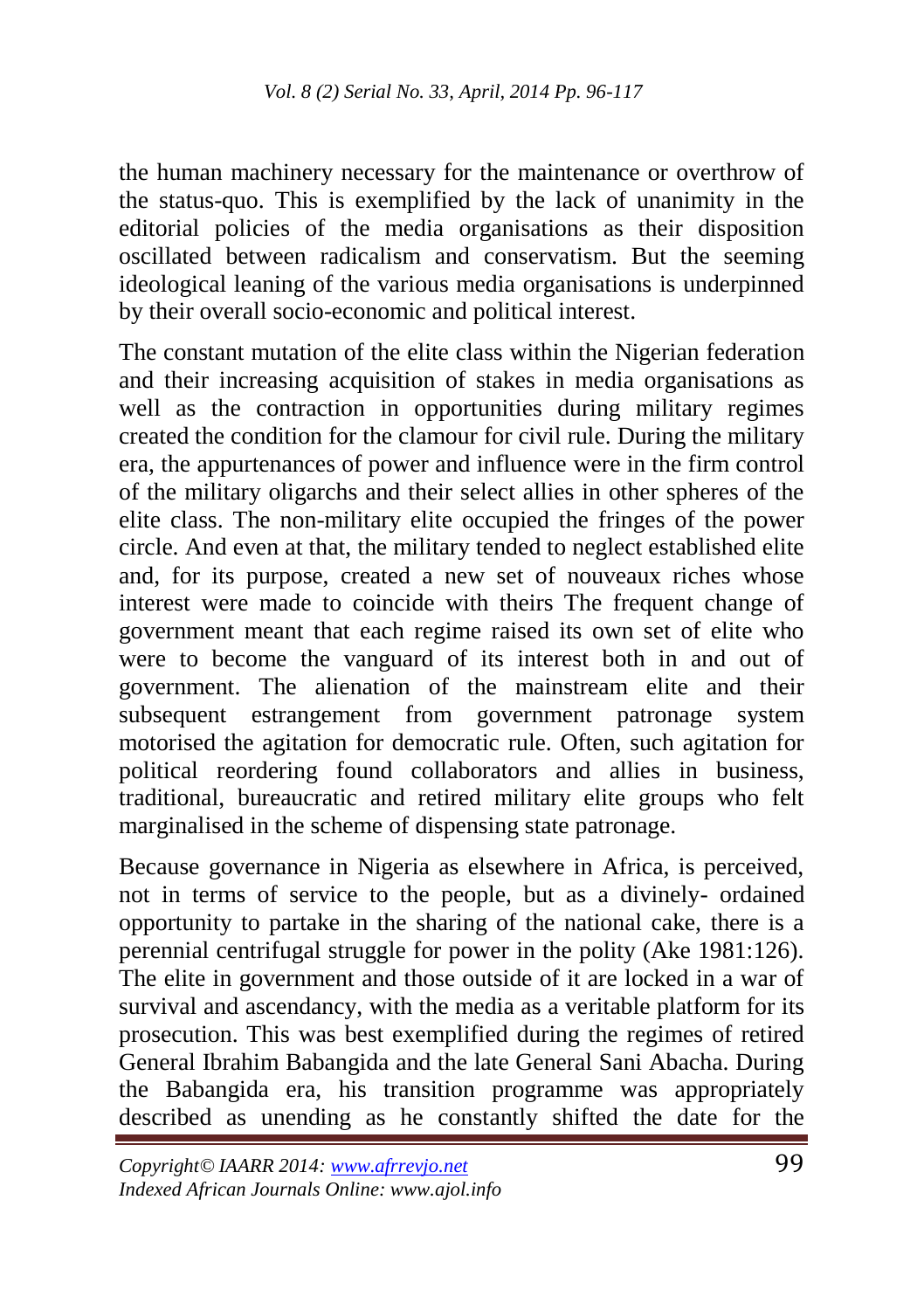the human machinery necessary for the maintenance or overthrow of the status-quo. This is exemplified by the lack of unanimity in the editorial policies of the media organisations as their disposition oscillated between radicalism and conservatism. But the seeming ideological leaning of the various media organisations is underpinned by their overall socio-economic and political interest.

The constant mutation of the elite class within the Nigerian federation and their increasing acquisition of stakes in media organisations as well as the contraction in opportunities during military regimes created the condition for the clamour for civil rule. During the military era, the appurtenances of power and influence were in the firm control of the military oligarchs and their select allies in other spheres of the elite class. The non-military elite occupied the fringes of the power circle. And even at that, the military tended to neglect established elite and, for its purpose, created a new set of nouveaux riches whose interest were made to coincide with theirs The frequent change of government meant that each regime raised its own set of elite who were to become the vanguard of its interest both in and out of government. The alienation of the mainstream elite and their subsequent estrangement from government patronage system motorised the agitation for democratic rule. Often, such agitation for political reordering found collaborators and allies in business, traditional, bureaucratic and retired military elite groups who felt marginalised in the scheme of dispensing state patronage.

Because governance in Nigeria as elsewhere in Africa, is perceived, not in terms of service to the people, but as a divinely- ordained opportunity to partake in the sharing of the national cake, there is a perennial centrifugal struggle for power in the polity (Ake 1981:126). The elite in government and those outside of it are locked in a war of survival and ascendancy, with the media as a veritable platform for its prosecution. This was best exemplified during the regimes of retired General Ibrahim Babangida and the late General Sani Abacha. During the Babangida era, his transition programme was appropriately described as unending as he constantly shifted the date for the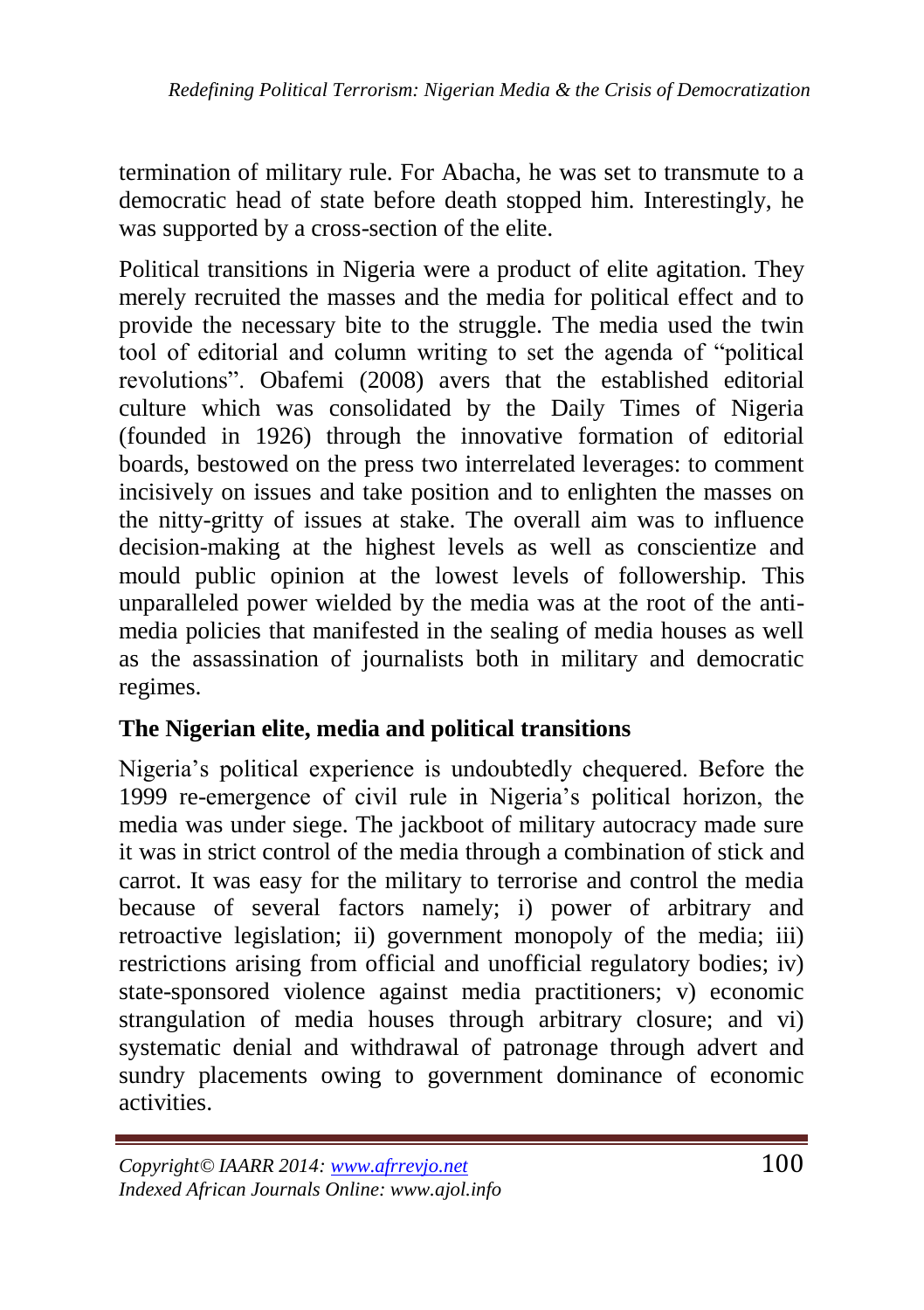termination of military rule. For Abacha, he was set to transmute to a democratic head of state before death stopped him. Interestingly, he was supported by a cross-section of the elite.

Political transitions in Nigeria were a product of elite agitation. They merely recruited the masses and the media for political effect and to provide the necessary bite to the struggle. The media used the twin tool of editorial and column writing to set the agenda of "political revolutions". Obafemi (2008) avers that the established editorial culture which was consolidated by the Daily Times of Nigeria (founded in 1926) through the innovative formation of editorial boards, bestowed on the press two interrelated leverages: to comment incisively on issues and take position and to enlighten the masses on the nitty-gritty of issues at stake. The overall aim was to influence decision-making at the highest levels as well as conscientize and mould public opinion at the lowest levels of followership. This unparalleled power wielded by the media was at the root of the antimedia policies that manifested in the sealing of media houses as well as the assassination of journalists both in military and democratic regimes.

# **The Nigerian elite, media and political transitions**

Nigeria's political experience is undoubtedly chequered. Before the 1999 re-emergence of civil rule in Nigeria's political horizon, the media was under siege. The jackboot of military autocracy made sure it was in strict control of the media through a combination of stick and carrot. It was easy for the military to terrorise and control the media because of several factors namely; i) power of arbitrary and retroactive legislation; ii) government monopoly of the media; iii) restrictions arising from official and unofficial regulatory bodies; iv) state-sponsored violence against media practitioners; v) economic strangulation of media houses through arbitrary closure; and vi) systematic denial and withdrawal of patronage through advert and sundry placements owing to government dominance of economic activities.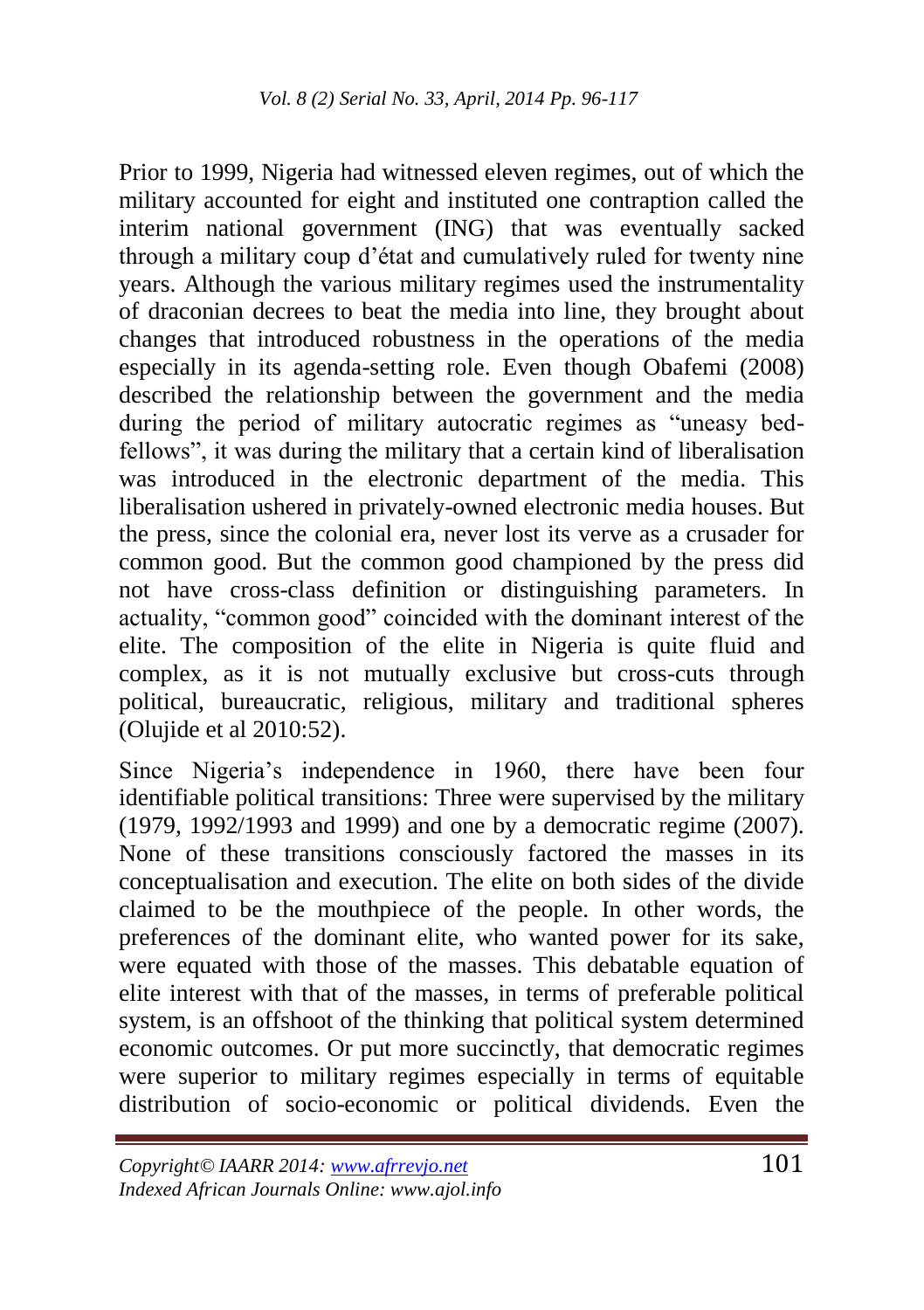Prior to 1999, Nigeria had witnessed eleven regimes, out of which the military accounted for eight and instituted one contraption called the interim national government (ING) that was eventually sacked through a military coup d'état and cumulatively ruled for twenty nine years. Although the various military regimes used the instrumentality of draconian decrees to beat the media into line, they brought about changes that introduced robustness in the operations of the media especially in its agenda-setting role. Even though Obafemi (2008) described the relationship between the government and the media during the period of military autocratic regimes as "uneasy bedfellows", it was during the military that a certain kind of liberalisation was introduced in the electronic department of the media. This liberalisation ushered in privately-owned electronic media houses. But the press, since the colonial era, never lost its verve as a crusader for common good. But the common good championed by the press did not have cross-class definition or distinguishing parameters. In actuality, "common good" coincided with the dominant interest of the elite. The composition of the elite in Nigeria is quite fluid and complex, as it is not mutually exclusive but cross-cuts through political, bureaucratic, religious, military and traditional spheres (Olujide et al 2010:52).

Since Nigeria's independence in 1960, there have been four identifiable political transitions: Three were supervised by the military (1979, 1992/1993 and 1999) and one by a democratic regime (2007). None of these transitions consciously factored the masses in its conceptualisation and execution. The elite on both sides of the divide claimed to be the mouthpiece of the people. In other words, the preferences of the dominant elite, who wanted power for its sake, were equated with those of the masses. This debatable equation of elite interest with that of the masses, in terms of preferable political system, is an offshoot of the thinking that political system determined economic outcomes. Or put more succinctly, that democratic regimes were superior to military regimes especially in terms of equitable distribution of socio-economic or political dividends. Even the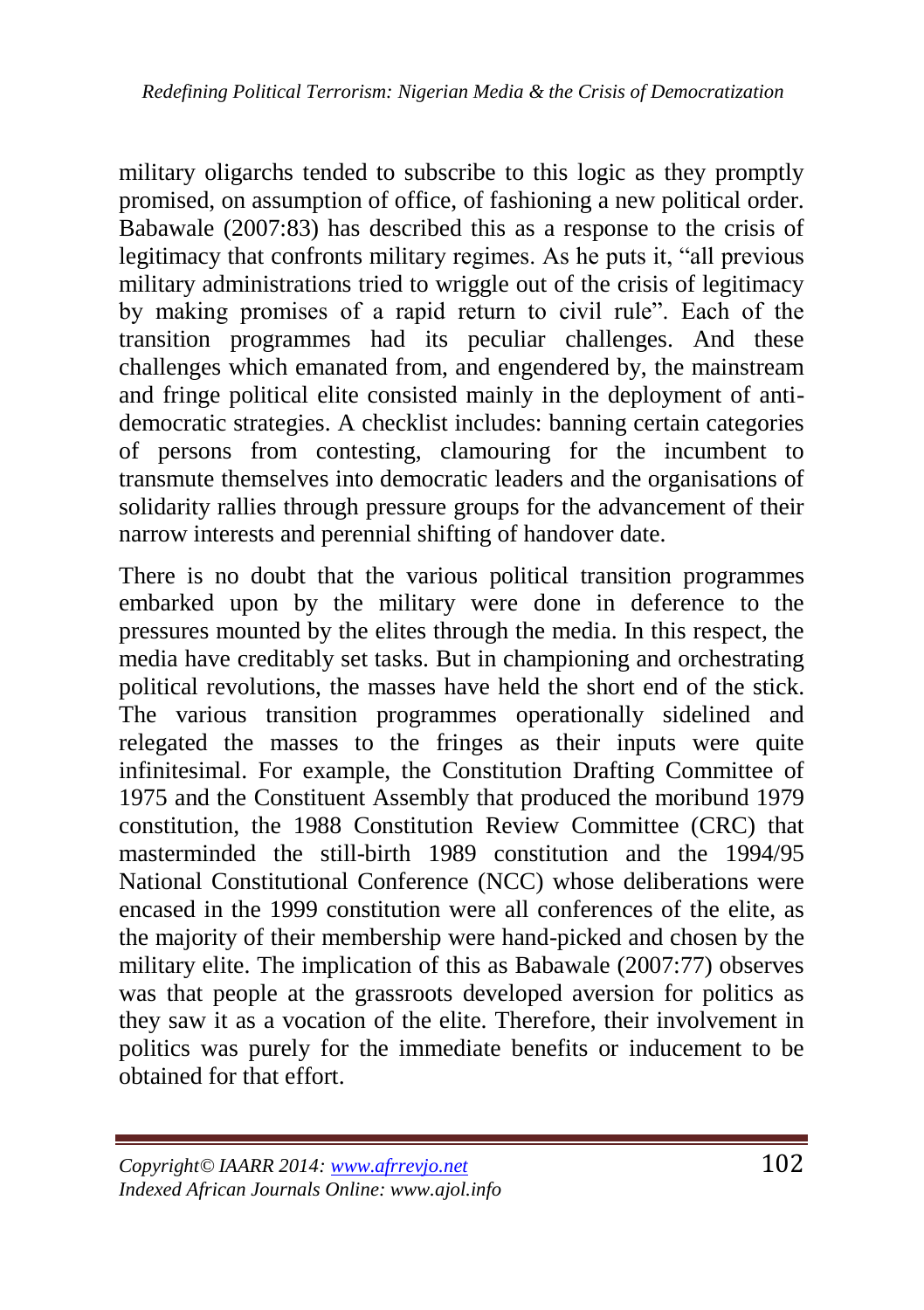military oligarchs tended to subscribe to this logic as they promptly promised, on assumption of office, of fashioning a new political order. Babawale (2007:83) has described this as a response to the crisis of legitimacy that confronts military regimes. As he puts it, "all previous military administrations tried to wriggle out of the crisis of legitimacy by making promises of a rapid return to civil rule". Each of the transition programmes had its peculiar challenges. And these challenges which emanated from, and engendered by, the mainstream and fringe political elite consisted mainly in the deployment of antidemocratic strategies. A checklist includes: banning certain categories of persons from contesting, clamouring for the incumbent to transmute themselves into democratic leaders and the organisations of solidarity rallies through pressure groups for the advancement of their narrow interests and perennial shifting of handover date.

There is no doubt that the various political transition programmes embarked upon by the military were done in deference to the pressures mounted by the elites through the media. In this respect, the media have creditably set tasks. But in championing and orchestrating political revolutions, the masses have held the short end of the stick. The various transition programmes operationally sidelined and relegated the masses to the fringes as their inputs were quite infinitesimal. For example, the Constitution Drafting Committee of 1975 and the Constituent Assembly that produced the moribund 1979 constitution, the 1988 Constitution Review Committee (CRC) that masterminded the still-birth 1989 constitution and the 1994/95 National Constitutional Conference (NCC) whose deliberations were encased in the 1999 constitution were all conferences of the elite, as the majority of their membership were hand-picked and chosen by the military elite. The implication of this as Babawale (2007:77) observes was that people at the grassroots developed aversion for politics as they saw it as a vocation of the elite. Therefore, their involvement in politics was purely for the immediate benefits or inducement to be obtained for that effort.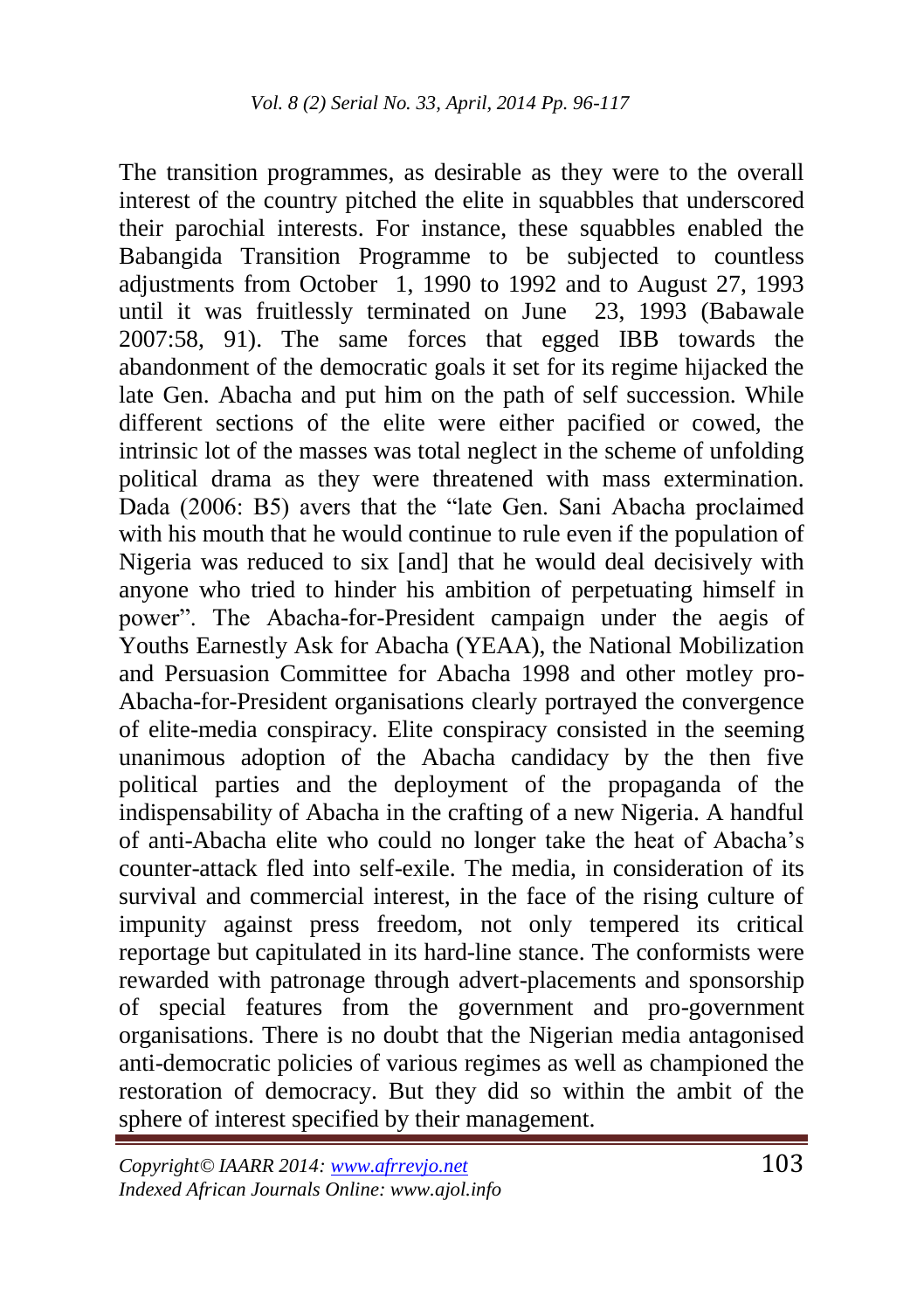The transition programmes, as desirable as they were to the overall interest of the country pitched the elite in squabbles that underscored their parochial interests. For instance, these squabbles enabled the Babangida Transition Programme to be subjected to countless adjustments from October 1, 1990 to 1992 and to August 27, 1993 until it was fruitlessly terminated on June 23, 1993 (Babawale 2007:58, 91). The same forces that egged IBB towards the abandonment of the democratic goals it set for its regime hijacked the late Gen. Abacha and put him on the path of self succession. While different sections of the elite were either pacified or cowed, the intrinsic lot of the masses was total neglect in the scheme of unfolding political drama as they were threatened with mass extermination. Dada (2006: B5) avers that the "late Gen. Sani Abacha proclaimed with his mouth that he would continue to rule even if the population of Nigeria was reduced to six [and] that he would deal decisively with anyone who tried to hinder his ambition of perpetuating himself in power". The Abacha-for-President campaign under the aegis of Youths Earnestly Ask for Abacha (YEAA), the National Mobilization and Persuasion Committee for Abacha 1998 and other motley pro-Abacha-for-President organisations clearly portrayed the convergence of elite-media conspiracy. Elite conspiracy consisted in the seeming unanimous adoption of the Abacha candidacy by the then five political parties and the deployment of the propaganda of the indispensability of Abacha in the crafting of a new Nigeria. A handful of anti-Abacha elite who could no longer take the heat of Abacha's counter-attack fled into self-exile. The media, in consideration of its survival and commercial interest, in the face of the rising culture of impunity against press freedom, not only tempered its critical reportage but capitulated in its hard-line stance. The conformists were rewarded with patronage through advert-placements and sponsorship of special features from the government and pro-government organisations. There is no doubt that the Nigerian media antagonised anti-democratic policies of various regimes as well as championed the restoration of democracy. But they did so within the ambit of the sphere of interest specified by their management.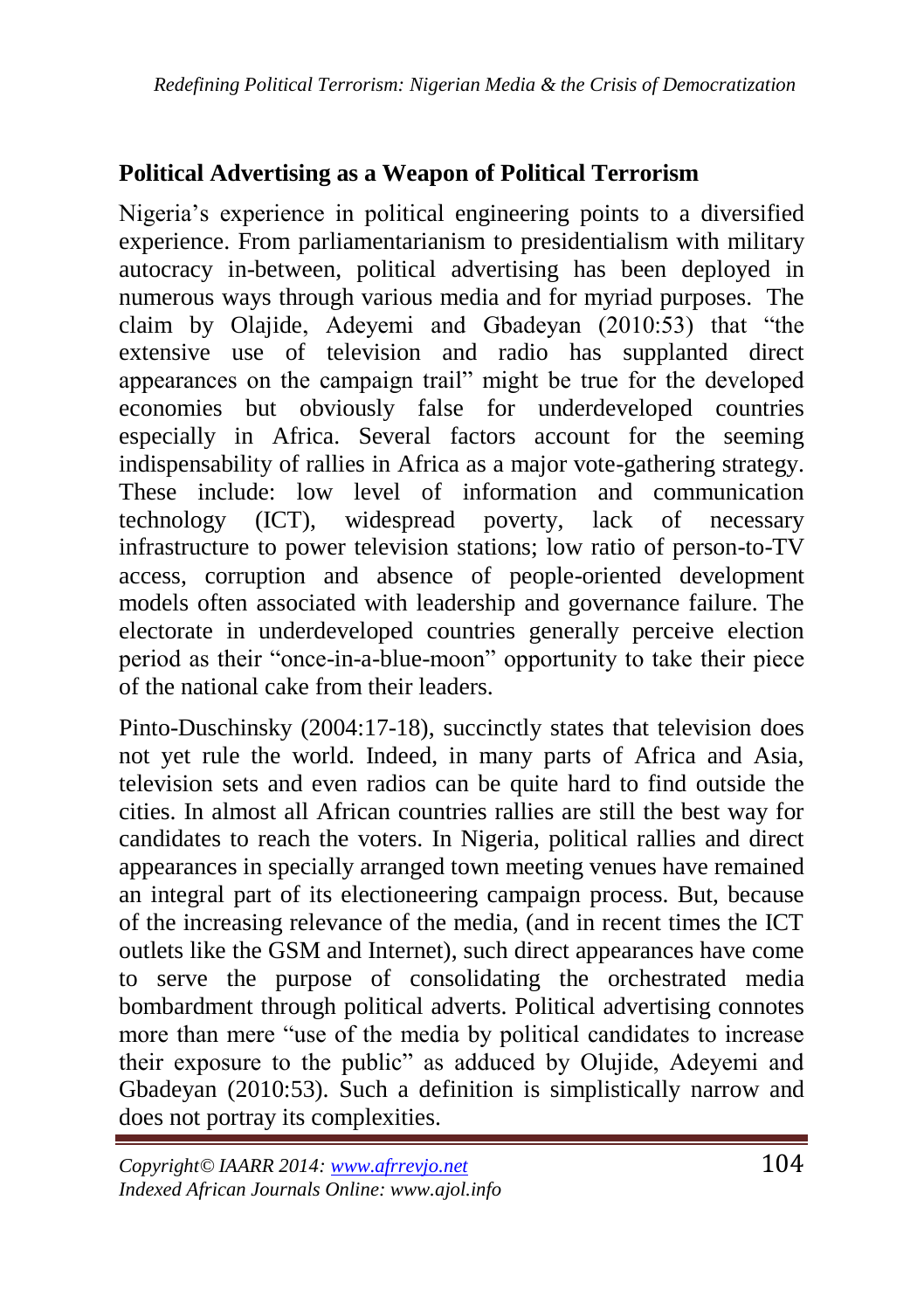# **Political Advertising as a Weapon of Political Terrorism**

Nigeria's experience in political engineering points to a diversified experience. From parliamentarianism to presidentialism with military autocracy in-between, political advertising has been deployed in numerous ways through various media and for myriad purposes. The claim by Olajide, Adeyemi and Gbadeyan  $(2010.53)$  that "the extensive use of television and radio has supplanted direct appearances on the campaign trail" might be true for the developed economies but obviously false for underdeveloped countries especially in Africa. Several factors account for the seeming indispensability of rallies in Africa as a major vote-gathering strategy. These include: low level of information and communication technology (ICT), widespread poverty, lack of necessary infrastructure to power television stations; low ratio of person-to-TV access, corruption and absence of people-oriented development models often associated with leadership and governance failure. The electorate in underdeveloped countries generally perceive election period as their "once-in-a-blue-moon" opportunity to take their piece of the national cake from their leaders.

Pinto-Duschinsky (2004:17-18), succinctly states that television does not yet rule the world. Indeed, in many parts of Africa and Asia, television sets and even radios can be quite hard to find outside the cities. In almost all African countries rallies are still the best way for candidates to reach the voters. In Nigeria, political rallies and direct appearances in specially arranged town meeting venues have remained an integral part of its electioneering campaign process. But, because of the increasing relevance of the media, (and in recent times the ICT outlets like the GSM and Internet), such direct appearances have come to serve the purpose of consolidating the orchestrated media bombardment through political adverts. Political advertising connotes more than mere "use of the media by political candidates to increase their exposure to the public" as adduced by Olujide, Adeyemi and Gbadeyan (2010:53). Such a definition is simplistically narrow and does not portray its complexities.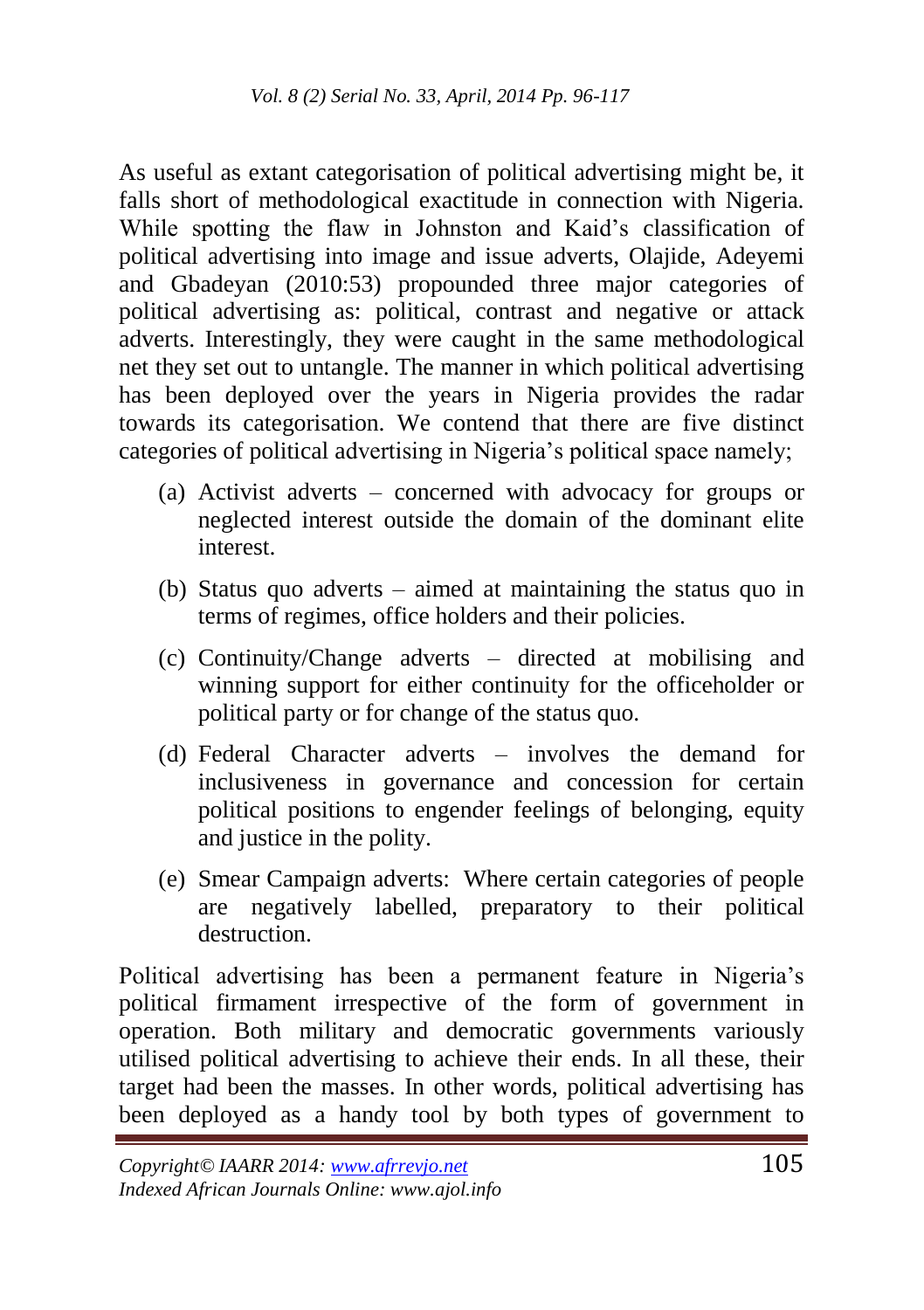As useful as extant categorisation of political advertising might be, it falls short of methodological exactitude in connection with Nigeria. While spotting the flaw in Johnston and Kaid's classification of political advertising into image and issue adverts, Olajide, Adeyemi and Gbadeyan (2010:53) propounded three major categories of political advertising as: political, contrast and negative or attack adverts. Interestingly, they were caught in the same methodological net they set out to untangle. The manner in which political advertising has been deployed over the years in Nigeria provides the radar towards its categorisation. We contend that there are five distinct categories of political advertising in Nigeria's political space namely;

- (a) Activist adverts concerned with advocacy for groups or neglected interest outside the domain of the dominant elite interest.
- (b) Status quo adverts aimed at maintaining the status quo in terms of regimes, office holders and their policies.
- (c) Continuity/Change adverts directed at mobilising and winning support for either continuity for the officeholder or political party or for change of the status quo.
- (d) Federal Character adverts involves the demand for inclusiveness in governance and concession for certain political positions to engender feelings of belonging, equity and justice in the polity.
- (e) Smear Campaign adverts: Where certain categories of people are negatively labelled, preparatory to their political destruction.

Political advertising has been a permanent feature in Nigeria's political firmament irrespective of the form of government in operation. Both military and democratic governments variously utilised political advertising to achieve their ends. In all these, their target had been the masses. In other words, political advertising has been deployed as a handy tool by both types of government to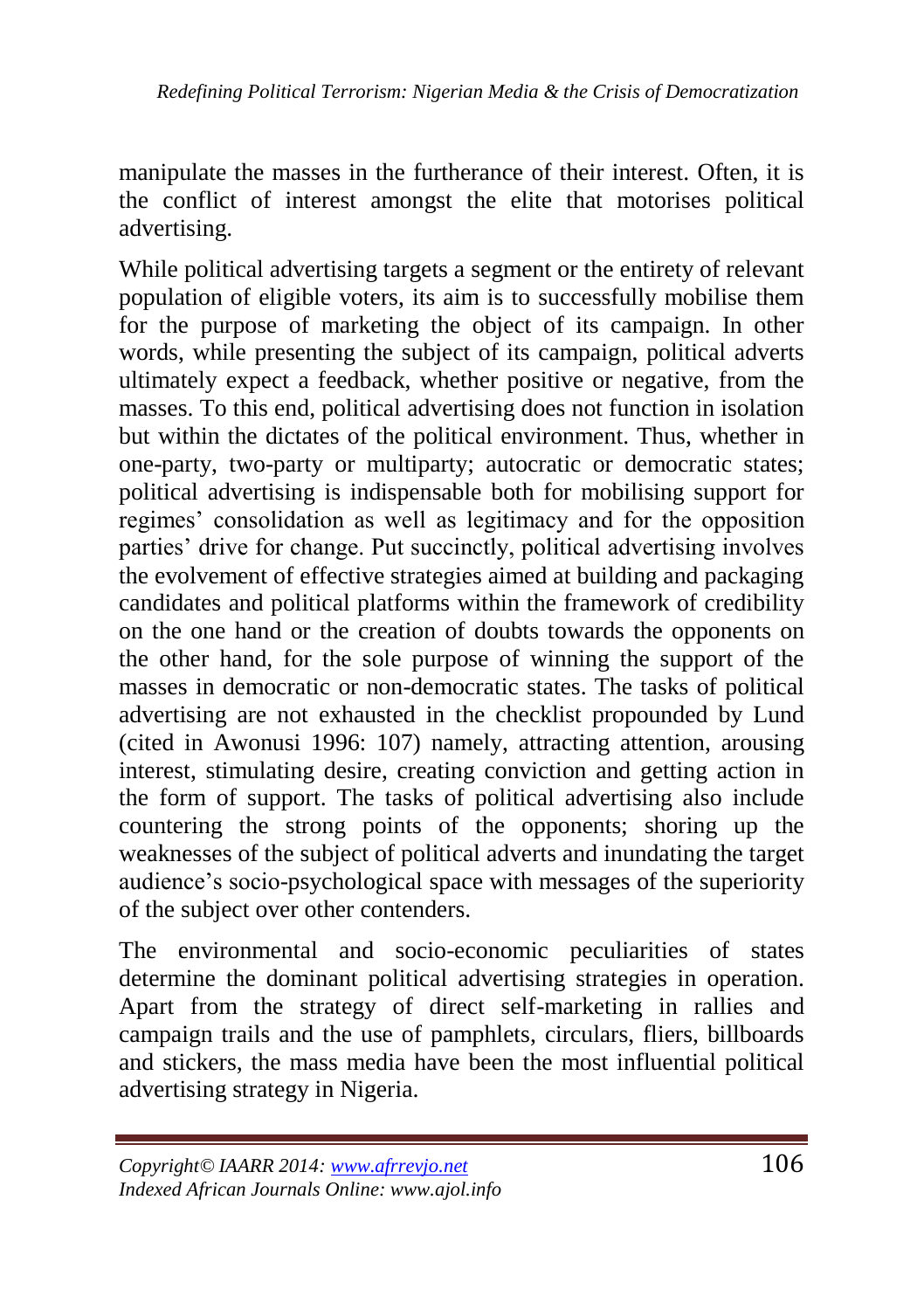manipulate the masses in the furtherance of their interest. Often, it is the conflict of interest amongst the elite that motorises political advertising.

While political advertising targets a segment or the entirety of relevant population of eligible voters, its aim is to successfully mobilise them for the purpose of marketing the object of its campaign. In other words, while presenting the subject of its campaign, political adverts ultimately expect a feedback, whether positive or negative, from the masses. To this end, political advertising does not function in isolation but within the dictates of the political environment. Thus, whether in one-party, two-party or multiparty; autocratic or democratic states; political advertising is indispensable both for mobilising support for regimes' consolidation as well as legitimacy and for the opposition parties' drive for change. Put succinctly, political advertising involves the evolvement of effective strategies aimed at building and packaging candidates and political platforms within the framework of credibility on the one hand or the creation of doubts towards the opponents on the other hand, for the sole purpose of winning the support of the masses in democratic or non-democratic states. The tasks of political advertising are not exhausted in the checklist propounded by Lund (cited in Awonusi 1996: 107) namely, attracting attention, arousing interest, stimulating desire, creating conviction and getting action in the form of support. The tasks of political advertising also include countering the strong points of the opponents; shoring up the weaknesses of the subject of political adverts and inundating the target audience's socio-psychological space with messages of the superiority of the subject over other contenders.

The environmental and socio-economic peculiarities of states determine the dominant political advertising strategies in operation. Apart from the strategy of direct self-marketing in rallies and campaign trails and the use of pamphlets, circulars, fliers, billboards and stickers, the mass media have been the most influential political advertising strategy in Nigeria.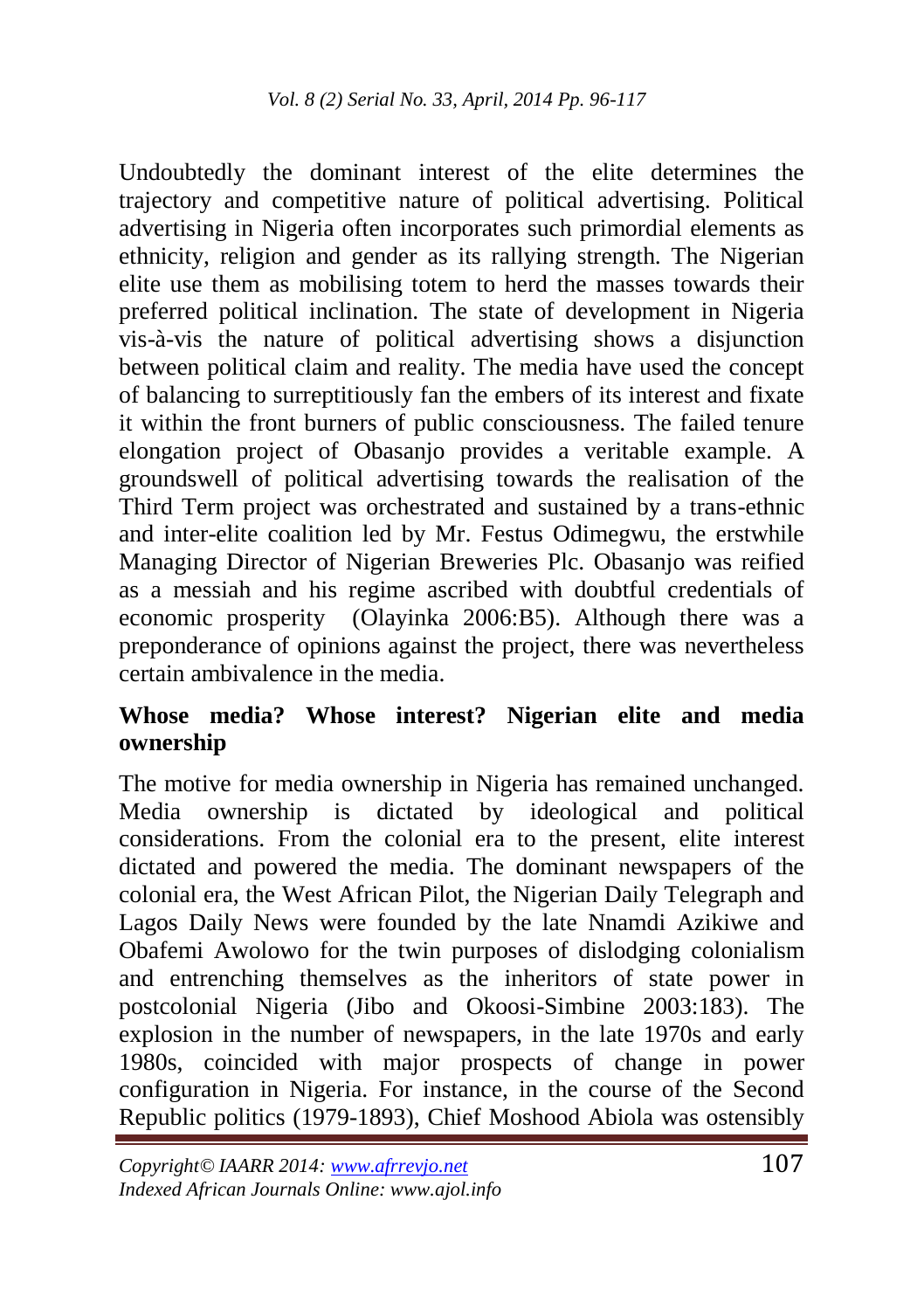Undoubtedly the dominant interest of the elite determines the trajectory and competitive nature of political advertising. Political advertising in Nigeria often incorporates such primordial elements as ethnicity, religion and gender as its rallying strength. The Nigerian elite use them as mobilising totem to herd the masses towards their preferred political inclination. The state of development in Nigeria vis-à-vis the nature of political advertising shows a disjunction between political claim and reality. The media have used the concept of balancing to surreptitiously fan the embers of its interest and fixate it within the front burners of public consciousness. The failed tenure elongation project of Obasanjo provides a veritable example. A groundswell of political advertising towards the realisation of the Third Term project was orchestrated and sustained by a trans-ethnic and inter-elite coalition led by Mr. Festus Odimegwu, the erstwhile Managing Director of Nigerian Breweries Plc. Obasanjo was reified as a messiah and his regime ascribed with doubtful credentials of economic prosperity (Olayinka 2006:B5). Although there was a preponderance of opinions against the project, there was nevertheless certain ambivalence in the media.

## **Whose media? Whose interest? Nigerian elite and media ownership**

The motive for media ownership in Nigeria has remained unchanged. Media ownership is dictated by ideological and political considerations. From the colonial era to the present, elite interest dictated and powered the media. The dominant newspapers of the colonial era, the West African Pilot, the Nigerian Daily Telegraph and Lagos Daily News were founded by the late Nnamdi Azikiwe and Obafemi Awolowo for the twin purposes of dislodging colonialism and entrenching themselves as the inheritors of state power in postcolonial Nigeria (Jibo and Okoosi-Simbine 2003:183). The explosion in the number of newspapers, in the late 1970s and early 1980s, coincided with major prospects of change in power configuration in Nigeria. For instance, in the course of the Second Republic politics (1979-1893), Chief Moshood Abiola was ostensibly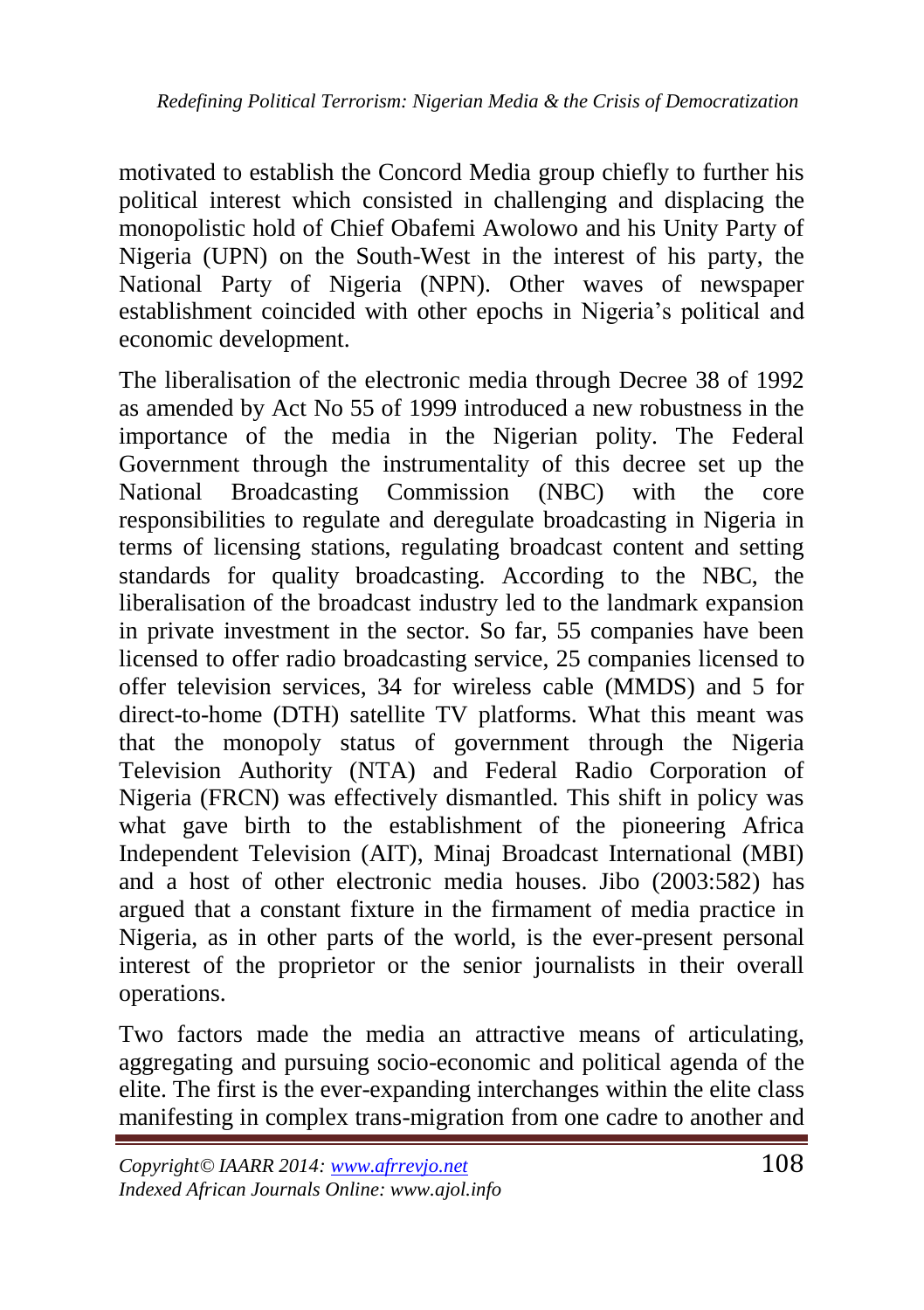motivated to establish the Concord Media group chiefly to further his political interest which consisted in challenging and displacing the monopolistic hold of Chief Obafemi Awolowo and his Unity Party of Nigeria (UPN) on the South-West in the interest of his party, the National Party of Nigeria (NPN). Other waves of newspaper establishment coincided with other epochs in Nigeria's political and economic development.

The liberalisation of the electronic media through Decree 38 of 1992 as amended by Act No 55 of 1999 introduced a new robustness in the importance of the media in the Nigerian polity. The Federal Government through the instrumentality of this decree set up the National Broadcasting Commission (NBC) with the core responsibilities to regulate and deregulate broadcasting in Nigeria in terms of licensing stations, regulating broadcast content and setting standards for quality broadcasting. According to the NBC, the liberalisation of the broadcast industry led to the landmark expansion in private investment in the sector. So far, 55 companies have been licensed to offer radio broadcasting service, 25 companies licensed to offer television services, 34 for wireless cable (MMDS) and 5 for direct-to-home (DTH) satellite TV platforms. What this meant was that the monopoly status of government through the Nigeria Television Authority (NTA) and Federal Radio Corporation of Nigeria (FRCN) was effectively dismantled. This shift in policy was what gave birth to the establishment of the pioneering Africa Independent Television (AIT), Minaj Broadcast International (MBI) and a host of other electronic media houses. Jibo (2003:582) has argued that a constant fixture in the firmament of media practice in Nigeria, as in other parts of the world, is the ever-present personal interest of the proprietor or the senior journalists in their overall operations.

Two factors made the media an attractive means of articulating, aggregating and pursuing socio-economic and political agenda of the elite. The first is the ever-expanding interchanges within the elite class manifesting in complex trans-migration from one cadre to another and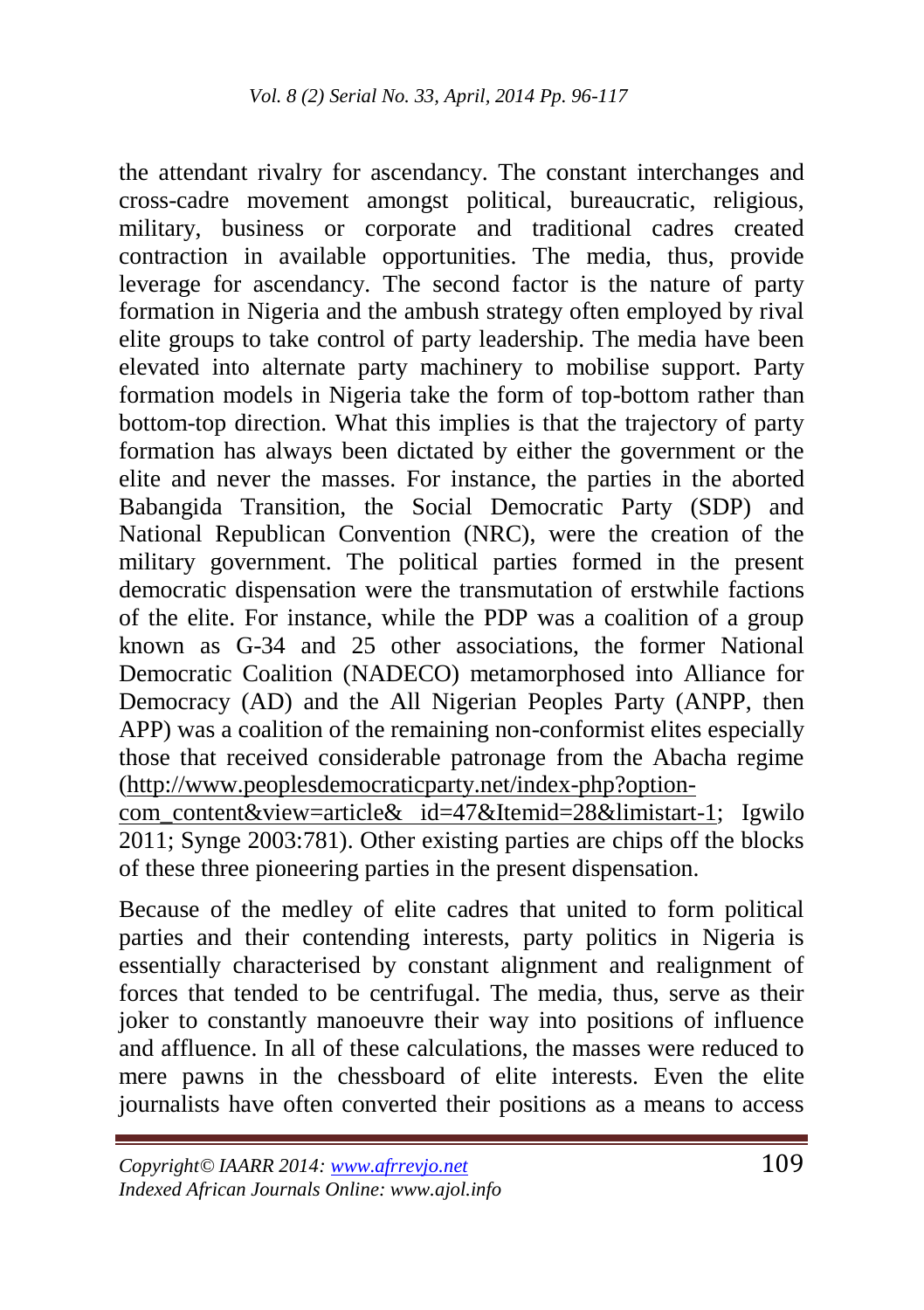the attendant rivalry for ascendancy. The constant interchanges and cross-cadre movement amongst political, bureaucratic, religious, military, business or corporate and traditional cadres created contraction in available opportunities. The media, thus, provide leverage for ascendancy. The second factor is the nature of party formation in Nigeria and the ambush strategy often employed by rival elite groups to take control of party leadership. The media have been elevated into alternate party machinery to mobilise support. Party formation models in Nigeria take the form of top-bottom rather than bottom-top direction. What this implies is that the trajectory of party formation has always been dictated by either the government or the elite and never the masses. For instance, the parties in the aborted Babangida Transition, the Social Democratic Party (SDP) and National Republican Convention (NRC), were the creation of the military government. The political parties formed in the present democratic dispensation were the transmutation of erstwhile factions of the elite. For instance, while the PDP was a coalition of a group known as G-34 and 25 other associations, the former National Democratic Coalition (NADECO) metamorphosed into Alliance for Democracy (AD) and the All Nigerian Peoples Party (ANPP, then APP) was a coalition of the remaining non-conformist elites especially those that received considerable patronage from the Abacha regime [\(http://www.peoplesdemocraticparty.net/index-php?option-](http://www.peoplesdemocraticparty.net/index-php?option-com_content&view=article&%20id=47&Itemid=28&limistart-1)

[com\\_content&view=article& id=47&Itemid=28&limistart-1;](http://www.peoplesdemocraticparty.net/index-php?option-com_content&view=article&%20id=47&Itemid=28&limistart-1) Igwilo 2011; Synge 2003:781). Other existing parties are chips off the blocks of these three pioneering parties in the present dispensation.

Because of the medley of elite cadres that united to form political parties and their contending interests, party politics in Nigeria is essentially characterised by constant alignment and realignment of forces that tended to be centrifugal. The media, thus, serve as their joker to constantly manoeuvre their way into positions of influence and affluence. In all of these calculations, the masses were reduced to mere pawns in the chessboard of elite interests. Even the elite journalists have often converted their positions as a means to access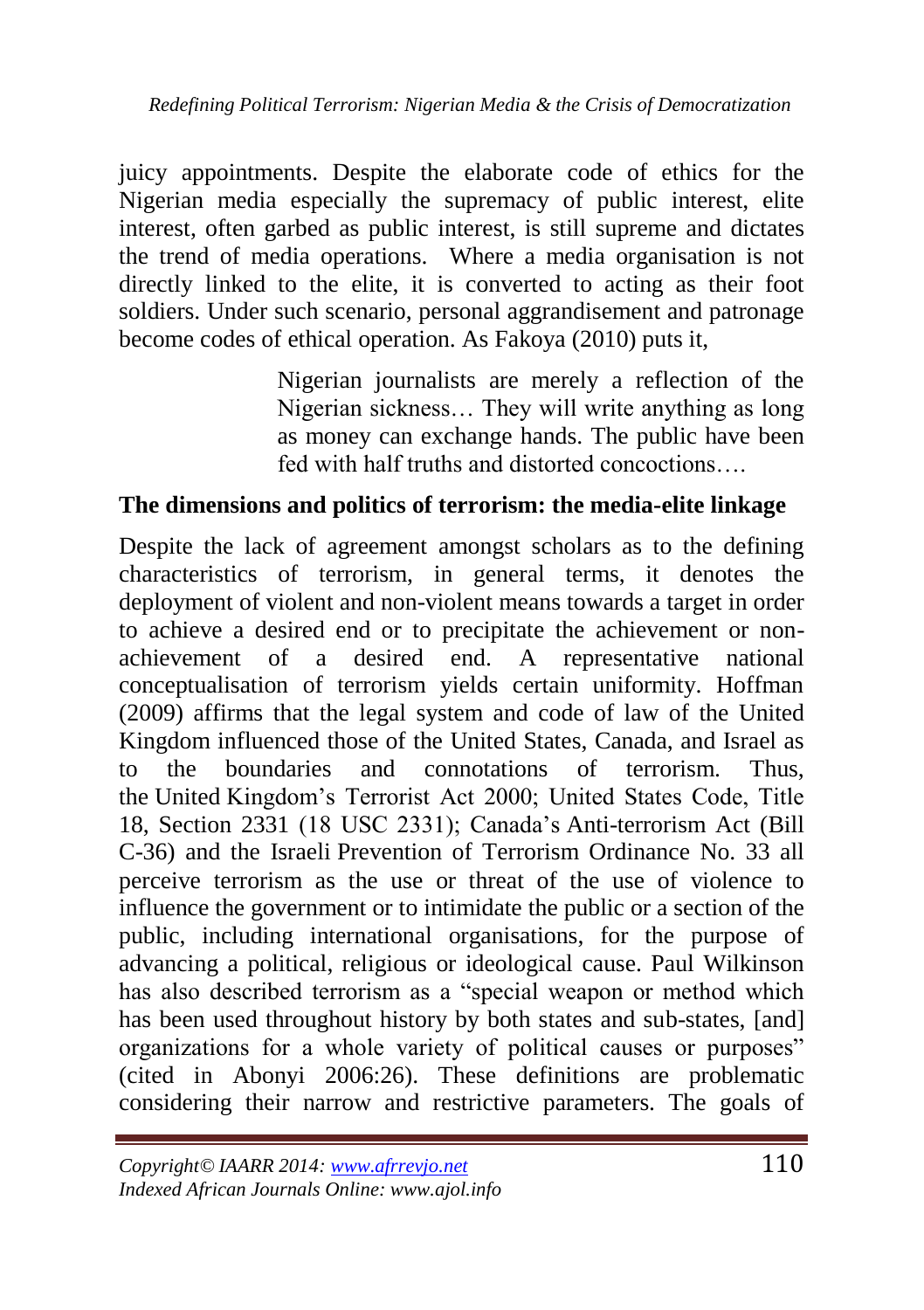*Redefining Political Terrorism: Nigerian Media & the Crisis of Democratization*

juicy appointments. Despite the elaborate code of ethics for the Nigerian media especially the supremacy of public interest, elite interest, often garbed as public interest, is still supreme and dictates the trend of media operations. Where a media organisation is not directly linked to the elite, it is converted to acting as their foot soldiers. Under such scenario, personal aggrandisement and patronage become codes of ethical operation. As Fakoya (2010) puts it,

> Nigerian journalists are merely a reflection of the Nigerian sickness… They will write anything as long as money can exchange hands. The public have been fed with half truths and distorted concoctions….

## **The dimensions and politics of terrorism: the media-elite linkage**

Despite the lack of agreement amongst scholars as to the defining characteristics of terrorism, in general terms, it denotes the deployment of violent and non-violent means towards a target in order to achieve a desired end or to precipitate the achievement or nonachievement of a desired end. A representative national conceptualisation of terrorism yields certain uniformity. Hoffman (2009) affirms that the legal system and code of law of the United Kingdom influenced those of the United States, Canada, and Israel as to the boundaries and connotations of terrorism. Thus, the United Kingdom's Terrorist Act 2000; United States Code, Title 18, Section 2331 (18 USC 2331); Canada's Anti-terrorism Act (Bill C-36) and the Israeli Prevention of Terrorism Ordinance No. 33 all perceive terrorism as the use or threat of the use of violence to influence the government or to intimidate the public or a section of the public, including international organisations, for the purpose of advancing a political, religious or ideological cause. Paul Wilkinson has also described terrorism as a "special weapon or method which has been used throughout history by both states and sub-states, [and] organizations for a whole variety of political causes or purposes" (cited in Abonyi 2006:26). These definitions are problematic considering their narrow and restrictive parameters. The goals of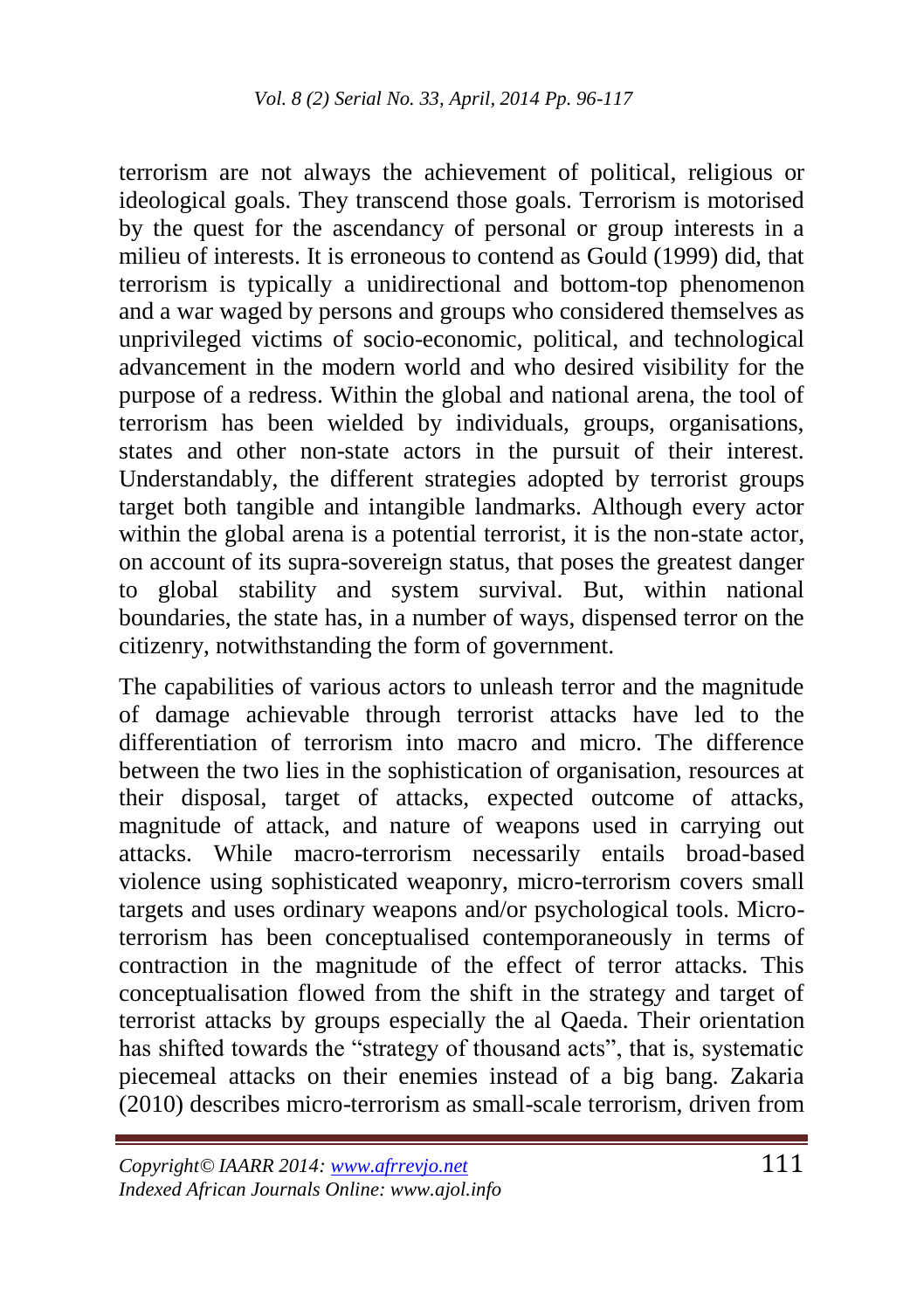terrorism are not always the achievement of political, religious or ideological goals. They transcend those goals. Terrorism is motorised by the quest for the ascendancy of personal or group interests in a milieu of interests. It is erroneous to contend as Gould (1999) did, that terrorism is typically a unidirectional and bottom-top phenomenon and a war waged by persons and groups who considered themselves as unprivileged victims of socio-economic, political, and technological advancement in the modern world and who desired visibility for the purpose of a redress. Within the global and national arena, the tool of terrorism has been wielded by individuals, groups, organisations, states and other non-state actors in the pursuit of their interest. Understandably, the different strategies adopted by terrorist groups target both tangible and intangible landmarks. Although every actor within the global arena is a potential terrorist, it is the non-state actor, on account of its supra-sovereign status, that poses the greatest danger to global stability and system survival. But, within national boundaries, the state has, in a number of ways, dispensed terror on the citizenry, notwithstanding the form of government.

The capabilities of various actors to unleash terror and the magnitude of damage achievable through terrorist attacks have led to the differentiation of terrorism into macro and micro. The difference between the two lies in the sophistication of organisation, resources at their disposal, target of attacks, expected outcome of attacks, magnitude of attack, and nature of weapons used in carrying out attacks. While macro-terrorism necessarily entails broad-based violence using sophisticated weaponry, micro-terrorism covers small targets and uses ordinary weapons and/or psychological tools. Microterrorism has been conceptualised contemporaneously in terms of contraction in the magnitude of the effect of terror attacks. This conceptualisation flowed from the shift in the strategy and target of terrorist attacks by groups especially the al Qaeda. Their orientation has shifted towards the "strategy of thousand acts", that is, systematic piecemeal attacks on their enemies instead of a big bang. Zakaria (2010) describes micro-terrorism as small-scale terrorism, driven from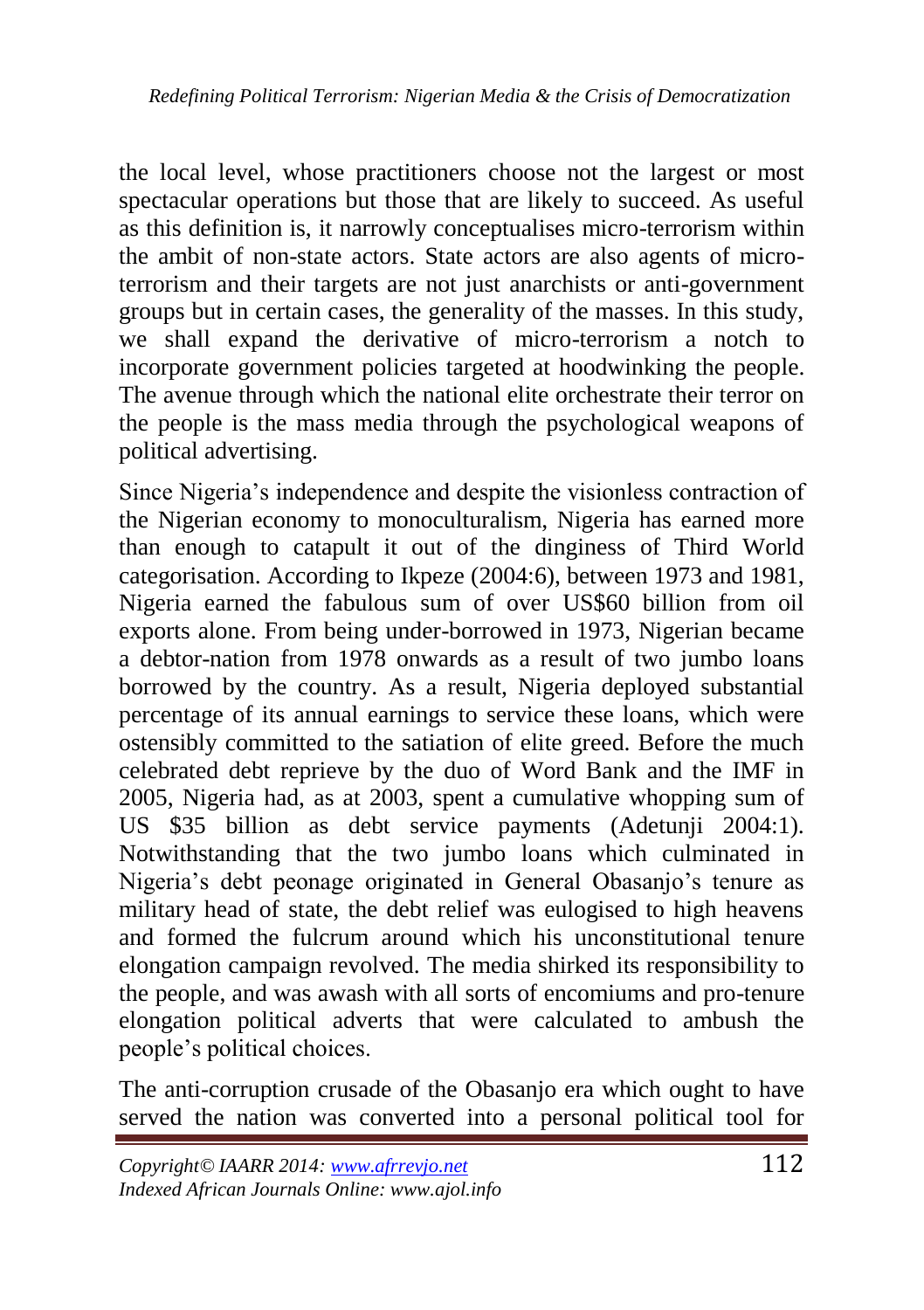the local level, whose practitioners choose not the largest or most spectacular operations but those that are likely to succeed. As useful as this definition is, it narrowly conceptualises micro-terrorism within the ambit of non-state actors. State actors are also agents of microterrorism and their targets are not just anarchists or anti-government groups but in certain cases, the generality of the masses. In this study, we shall expand the derivative of micro-terrorism a notch to incorporate government policies targeted at hoodwinking the people. The avenue through which the national elite orchestrate their terror on the people is the mass media through the psychological weapons of political advertising.

Since Nigeria's independence and despite the visionless contraction of the Nigerian economy to monoculturalism, Nigeria has earned more than enough to catapult it out of the dinginess of Third World categorisation. According to Ikpeze (2004:6), between 1973 and 1981, Nigeria earned the fabulous sum of over US\$60 billion from oil exports alone. From being under-borrowed in 1973, Nigerian became a debtor-nation from 1978 onwards as a result of two jumbo loans borrowed by the country. As a result, Nigeria deployed substantial percentage of its annual earnings to service these loans, which were ostensibly committed to the satiation of elite greed. Before the much celebrated debt reprieve by the duo of Word Bank and the IMF in 2005, Nigeria had, as at 2003, spent a cumulative whopping sum of US \$35 billion as debt service payments (Adetunji 2004:1). Notwithstanding that the two jumbo loans which culminated in Nigeria's debt peonage originated in General Obasanjo's tenure as military head of state, the debt relief was eulogised to high heavens and formed the fulcrum around which his unconstitutional tenure elongation campaign revolved. The media shirked its responsibility to the people, and was awash with all sorts of encomiums and pro-tenure elongation political adverts that were calculated to ambush the people's political choices.

The anti-corruption crusade of the Obasanjo era which ought to have served the nation was converted into a personal political tool for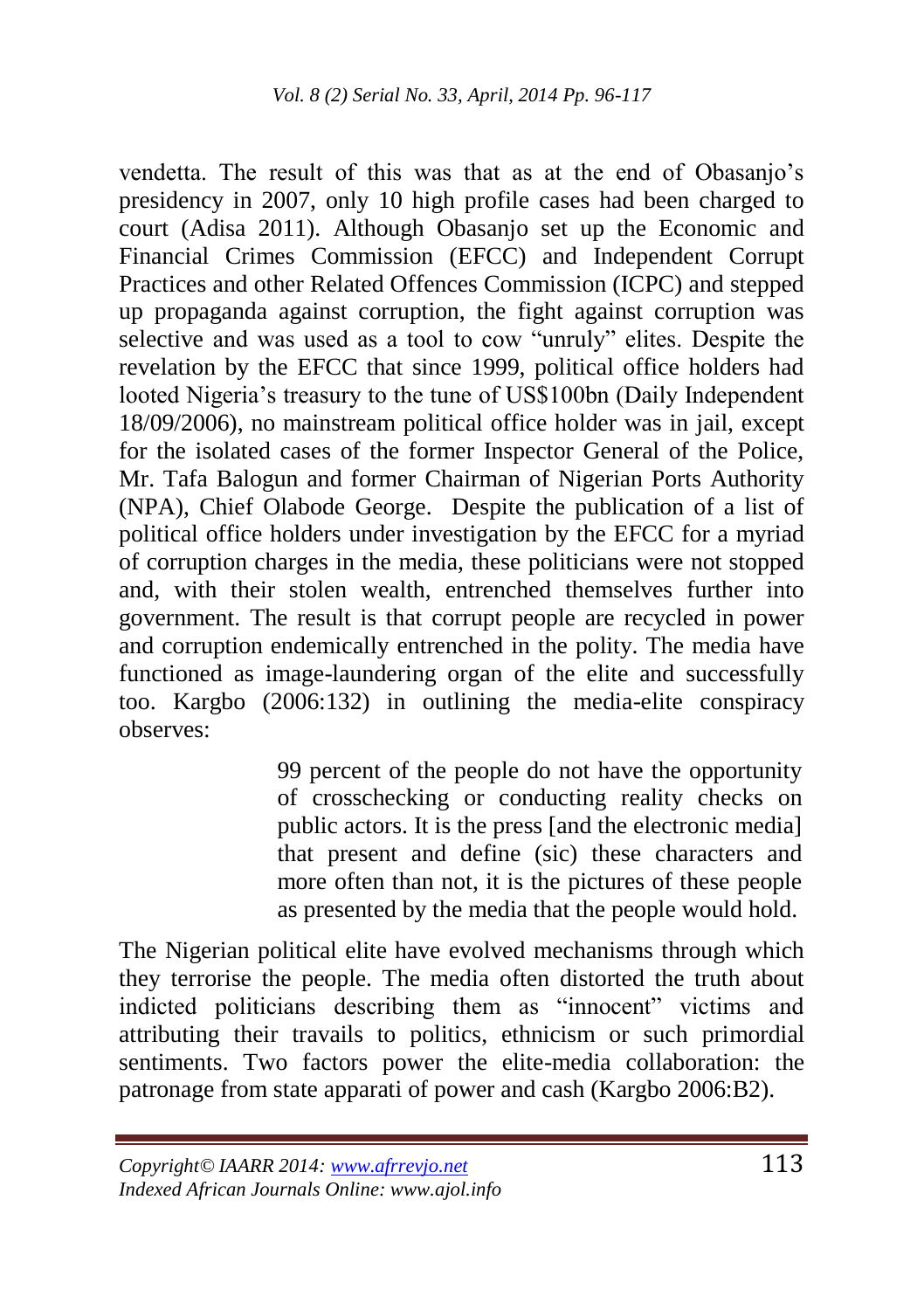vendetta. The result of this was that as at the end of Obasanjo's presidency in 2007, only 10 high profile cases had been charged to court (Adisa 2011). Although Obasanjo set up the Economic and Financial Crimes Commission (EFCC) and Independent Corrupt Practices and other Related Offences Commission (ICPC) and stepped up propaganda against corruption, the fight against corruption was selective and was used as a tool to cow "unruly" elites. Despite the revelation by the EFCC that since 1999, political office holders had looted Nigeria's treasury to the tune of US\$100bn (Daily Independent 18/09/2006), no mainstream political office holder was in jail, except for the isolated cases of the former Inspector General of the Police, Mr. Tafa Balogun and former Chairman of Nigerian Ports Authority (NPA), Chief Olabode George. Despite the publication of a list of political office holders under investigation by the EFCC for a myriad of corruption charges in the media, these politicians were not stopped and, with their stolen wealth, entrenched themselves further into government. The result is that corrupt people are recycled in power and corruption endemically entrenched in the polity. The media have functioned as image-laundering organ of the elite and successfully too. Kargbo (2006:132) in outlining the media-elite conspiracy observes:

> 99 percent of the people do not have the opportunity of crosschecking or conducting reality checks on public actors. It is the press [and the electronic media] that present and define (sic) these characters and more often than not, it is the pictures of these people as presented by the media that the people would hold.

The Nigerian political elite have evolved mechanisms through which they terrorise the people. The media often distorted the truth about indicted politicians describing them as "innocent" victims and attributing their travails to politics, ethnicism or such primordial sentiments. Two factors power the elite-media collaboration: the patronage from state apparati of power and cash (Kargbo 2006:B2).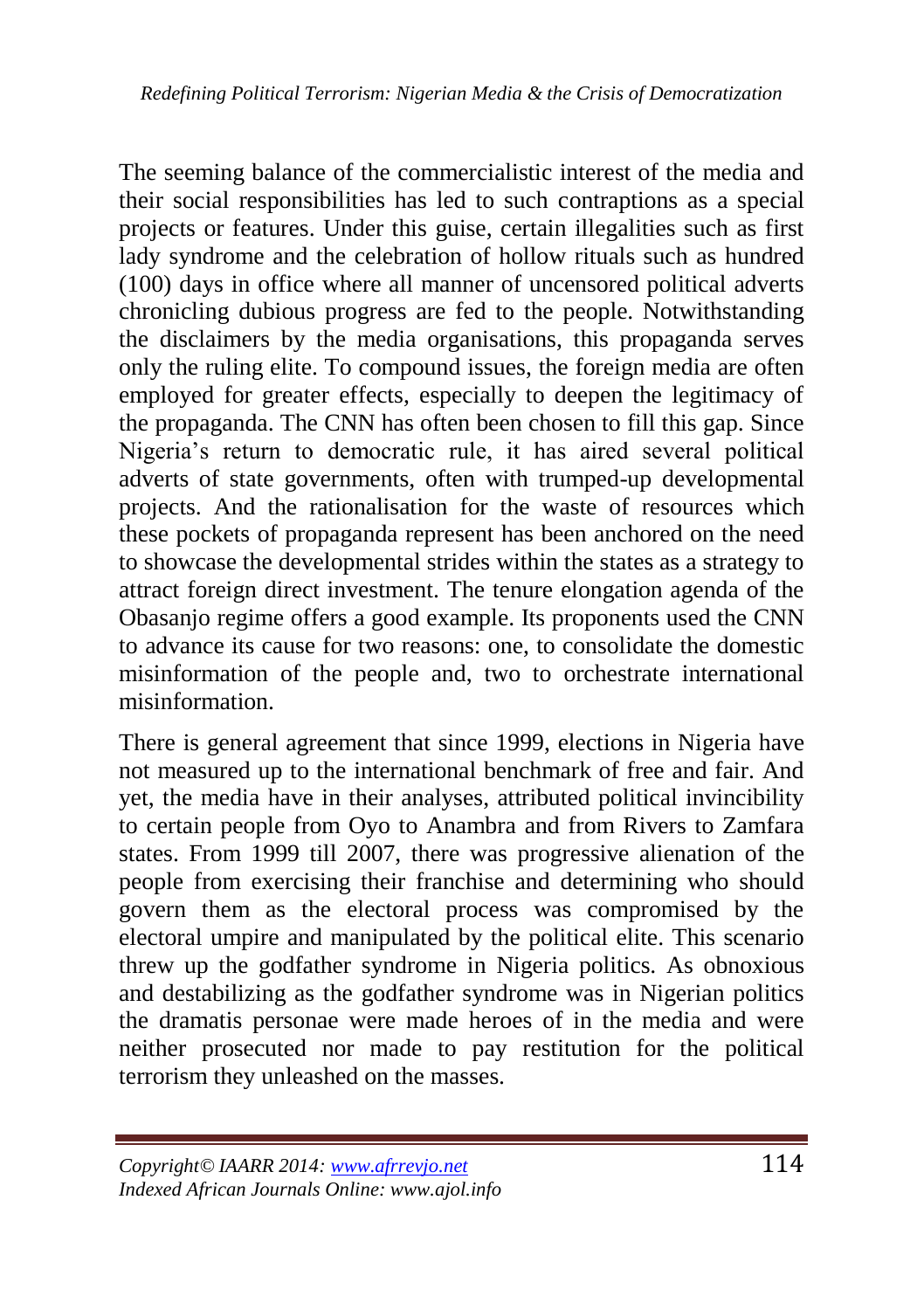The seeming balance of the commercialistic interest of the media and their social responsibilities has led to such contraptions as a special projects or features. Under this guise, certain illegalities such as first lady syndrome and the celebration of hollow rituals such as hundred (100) days in office where all manner of uncensored political adverts chronicling dubious progress are fed to the people. Notwithstanding the disclaimers by the media organisations, this propaganda serves only the ruling elite. To compound issues, the foreign media are often employed for greater effects, especially to deepen the legitimacy of the propaganda. The CNN has often been chosen to fill this gap. Since Nigeria's return to democratic rule, it has aired several political adverts of state governments, often with trumped-up developmental projects. And the rationalisation for the waste of resources which these pockets of propaganda represent has been anchored on the need to showcase the developmental strides within the states as a strategy to attract foreign direct investment. The tenure elongation agenda of the Obasanjo regime offers a good example. Its proponents used the CNN to advance its cause for two reasons: one, to consolidate the domestic misinformation of the people and, two to orchestrate international misinformation.

There is general agreement that since 1999, elections in Nigeria have not measured up to the international benchmark of free and fair. And yet, the media have in their analyses, attributed political invincibility to certain people from Oyo to Anambra and from Rivers to Zamfara states. From 1999 till 2007, there was progressive alienation of the people from exercising their franchise and determining who should govern them as the electoral process was compromised by the electoral umpire and manipulated by the political elite. This scenario threw up the godfather syndrome in Nigeria politics. As obnoxious and destabilizing as the godfather syndrome was in Nigerian politics the dramatis personae were made heroes of in the media and were neither prosecuted nor made to pay restitution for the political terrorism they unleashed on the masses.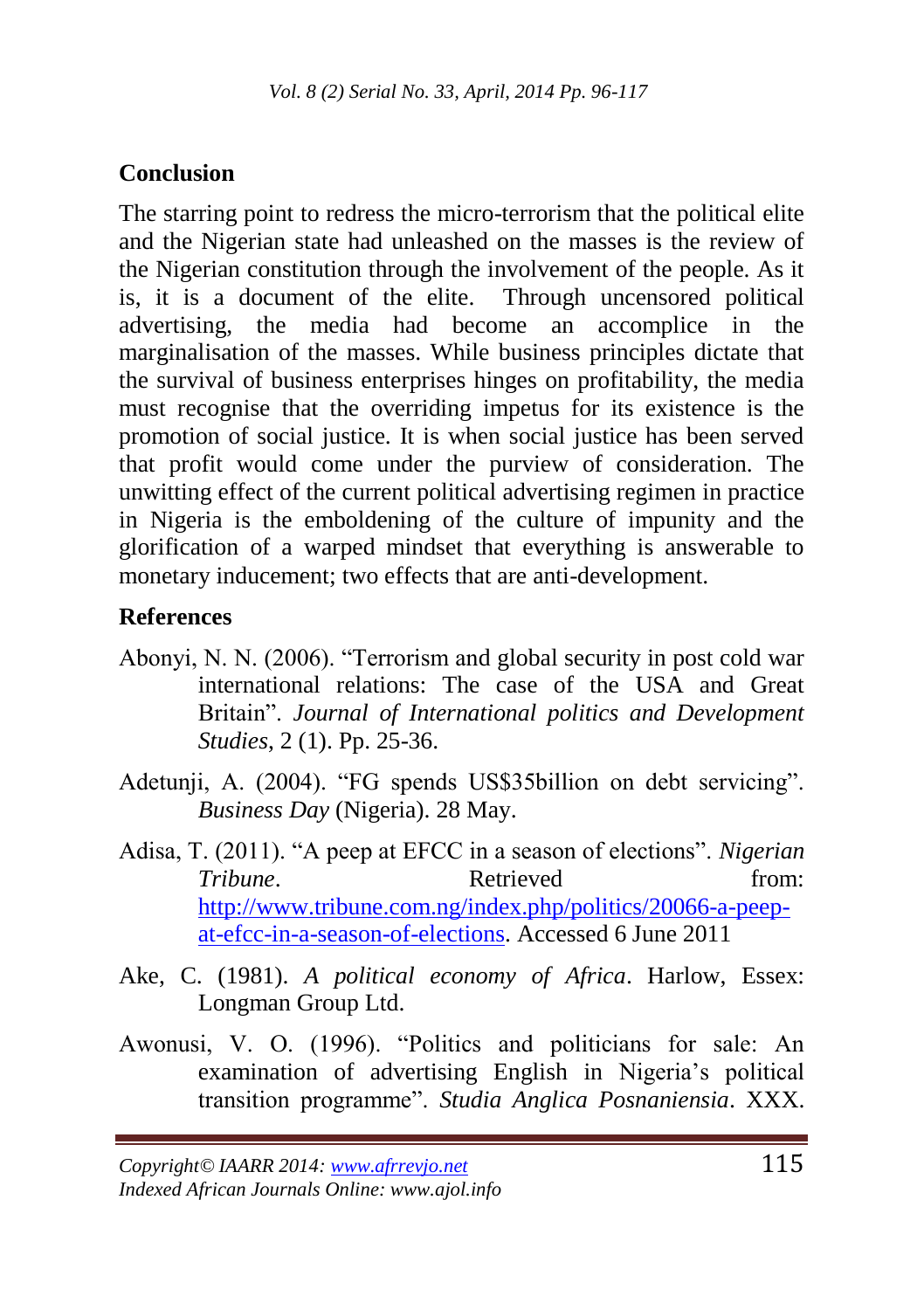#### **Conclusion**

The starring point to redress the micro-terrorism that the political elite and the Nigerian state had unleashed on the masses is the review of the Nigerian constitution through the involvement of the people. As it is, it is a document of the elite. Through uncensored political advertising, the media had become an accomplice in the marginalisation of the masses. While business principles dictate that the survival of business enterprises hinges on profitability, the media must recognise that the overriding impetus for its existence is the promotion of social justice. It is when social justice has been served that profit would come under the purview of consideration. The unwitting effect of the current political advertising regimen in practice in Nigeria is the emboldening of the culture of impunity and the glorification of a warped mindset that everything is answerable to monetary inducement; two effects that are anti-development.

## **References**

- Abonyi, N. N. (2006). "Terrorism and global security in post cold war international relations: The case of the USA and Great Britain‖. *Journal of International politics and Development Studies*, 2 (1). Pp. 25-36.
- Adetunji, A. (2004). "FG spends US\$35billion on debt servicing". *Business Day* (Nigeria). 28 May.
- Adisa, T. (2011). "A peep at EFCC in a season of elections". *Nigerian Tribune* Retrieved from: [http://www.tribune.com.ng/index.php/politics/20066-a-peep](http://www.tribune.com.ng/index.php/politics/20066-a-peep-at-efcc-in-a-season-of-elections)[at-efcc-in-a-season-of-elections.](http://www.tribune.com.ng/index.php/politics/20066-a-peep-at-efcc-in-a-season-of-elections) Accessed 6 June 2011
- Ake, C. (1981). *A political economy of Africa*. Harlow, Essex: Longman Group Ltd.
- Awonusi, V. O. (1996). "Politics and politicians for sale: An examination of advertising English in Nigeria's political transition programme‖. *Studia Anglica Posnaniensia*. XXX.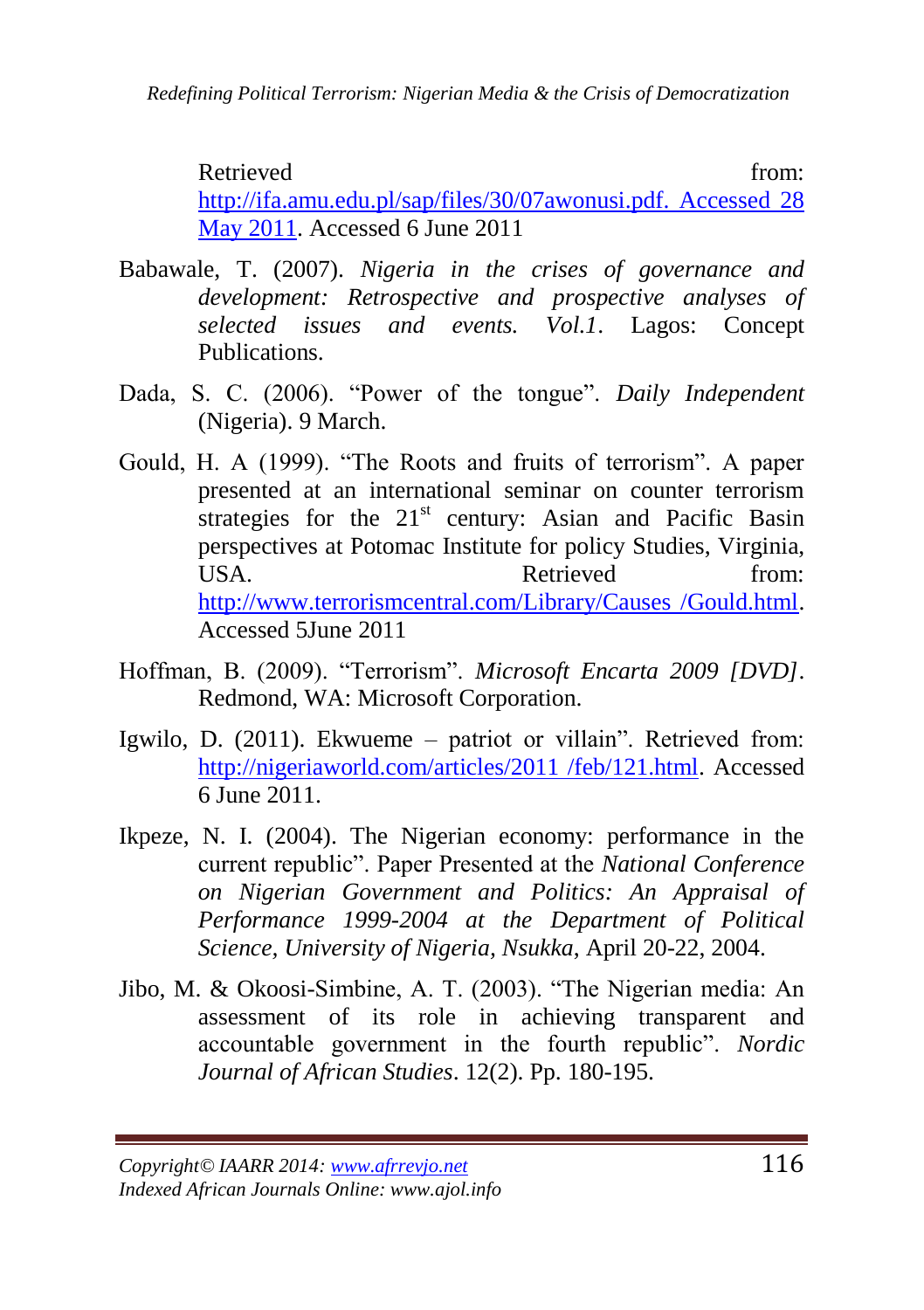Retrieved from: [http://ifa.amu.edu.pl/sap/files/30/07awonusi.pdf. Accessed 28](http://ifa.amu.edu.pl/sap/files/30/07awonusi.pdf.%20Accessed%2028%20May%202011)  [May 2011.](http://ifa.amu.edu.pl/sap/files/30/07awonusi.pdf.%20Accessed%2028%20May%202011) Accessed 6 June 2011

- Babawale, T. (2007). *Nigeria in the crises of governance and development: Retrospective and prospective analyses of selected issues and events. Vol.1*. Lagos: Concept Publications.
- Dada, S. C. (2006). "Power of the tongue". *Daily Independent* (Nigeria). 9 March.
- Gould, H. A (1999). "The Roots and fruits of terrorism". A paper presented at an international seminar on counter terrorism strategies for the  $21<sup>st</sup>$  century: Asian and Pacific Basin perspectives at Potomac Institute for policy Studies, Virginia, USA. Retrieved from: [http://www.terrorismcentral.com/Library/Causes /Gould.html.](http://www.terrorismcentral.com/Library/Causes%20/Gould.html) Accessed 5June 2011
- Hoffman, B. (2009). "Terrorism". *Microsoft Encarta 2009 [DVD]*. Redmond, WA: Microsoft Corporation.
- Igwilo, D. (2011). Ekwueme patriot or villain". Retrieved from: [http://nigeriaworld.com/articles/2011 /feb/121.html.](http://nigeriaworld.com/articles/2011%20/feb/121.html) Accessed 6 June 2011.
- Ikpeze, N. I. (2004). The Nigerian economy: performance in the current republic‖. Paper Presented at the *National Conference on Nigerian Government and Politics: An Appraisal of Performance 1999-2004 at the Department of Political Science, University of Nigeria, Nsukka*, April 20-22, 2004.
- Jibo, M. & Okoosi-Simbine, A. T. (2003). "The Nigerian media: An assessment of its role in achieving transparent and accountable government in the fourth republic". *Nordic Journal of African Studies*. 12(2). Pp. 180-195.